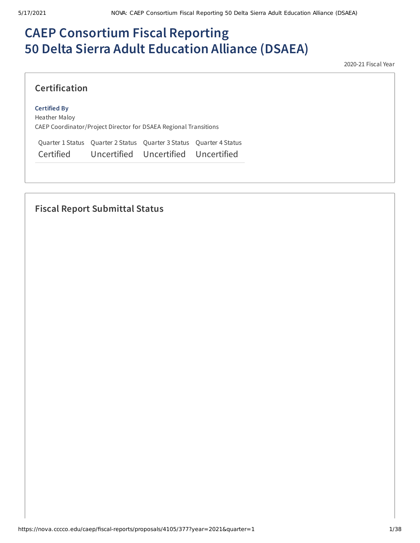# **CAEP Consortium Fiscal Reporting 50 Delta Sierra Adult Education Alliance (DSAEA)**

2020-21 Fiscal Year

### **Certification**

#### **Certified By**

Heather Maloy CAEP Coordinator/Project Director for DSAEA Regional Transitions

Quarter 1 Status Quarter 2 Status Quarter 3 Status Quarter 4 Status Certified Uncertified Uncertified Uncertified

## **Fiscal Report Submittal Status**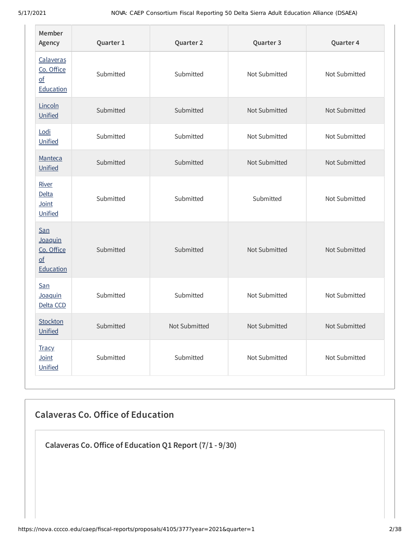| Member<br>Agency                                                  | Quarter 1 | Quarter 2<br>Quarter 3 |               | Quarter 4     |
|-------------------------------------------------------------------|-----------|------------------------|---------------|---------------|
| Calaveras<br>Co. Office<br>$\underline{\mathsf{of}}$<br>Education | Submitted | Submitted              | Not Submitted | Not Submitted |
| Lincoln<br>Unified                                                | Submitted | Submitted              | Not Submitted | Not Submitted |
| Lodi<br>Unified                                                   | Submitted | Submitted              | Not Submitted | Not Submitted |
| Manteca<br>Unified                                                | Submitted | Submitted              | Not Submitted | Not Submitted |
| River<br><b>Delta</b><br>Joint<br>Unified                         | Submitted | Submitted              | Submitted     | Not Submitted |
| San<br>Joaquin<br>Co. Office<br>$\overline{of}$<br>Education      | Submitted | Submitted              | Not Submitted | Not Submitted |
| San<br>Joaquin<br>Delta CCD                                       | Submitted | Submitted              | Not Submitted | Not Submitted |
| Stockton<br>Unified                                               | Submitted | Not Submitted          | Not Submitted | Not Submitted |
| <b>Tracy</b><br>Joint<br>Unified                                  | Submitted | Submitted              | Not Submitted | Not Submitted |

## **Calaveras Co. Oice of Education**

**Calaveras Co.Oice of Education Q1 Report (7/1 - 9/30)**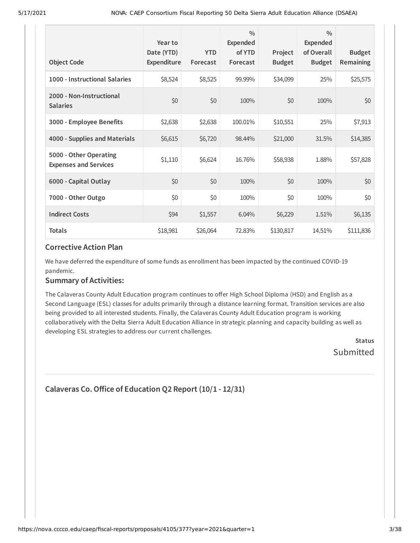| <b>Object Code</b>                                     | Year to<br>Date (YTD)<br>Expenditure | <b>YTD</b><br>Forecast | $\frac{0}{0}$<br><b>Expended</b><br>of YTD<br>Forecast | Project<br><b>Budget</b> | $\frac{0}{0}$<br>Expended<br>of Overall<br><b>Budget</b> | <b>Budget</b><br><b>Remaining</b> |
|--------------------------------------------------------|--------------------------------------|------------------------|--------------------------------------------------------|--------------------------|----------------------------------------------------------|-----------------------------------|
| 1000 - Instructional Salaries                          | \$8,524                              | \$8,525                | 99.99%                                                 | \$34,099                 | 25%                                                      | \$25,575                          |
| 2000 - Non-Instructional<br><b>Salaries</b>            | \$0                                  | \$0                    | 100%                                                   | \$0                      | 100%                                                     | \$0                               |
| 3000 - Employee Benefits                               | \$2,638                              | \$2,638                | 100.01%                                                | \$10,551                 | 25%                                                      | \$7,913                           |
| 4000 - Supplies and Materials                          | \$6,615                              | \$6,720                | 98.44%                                                 | \$21,000                 | 31.5%                                                    | \$14,385                          |
| 5000 - Other Operating<br><b>Expenses and Services</b> | \$1,110                              | \$6,624                | 16.76%                                                 | \$58,938                 | 1.88%                                                    | \$57,828                          |
| 6000 - Capital Outlay                                  | \$0                                  | \$0                    | 100%                                                   | \$0                      | 100%                                                     | \$0                               |
| 7000 - Other Outgo                                     | \$0                                  | \$0                    | 100%                                                   | \$0                      | 100%                                                     | \$0\$                             |
| <b>Indirect Costs</b>                                  | \$94                                 | \$1,557                | 6.04%                                                  | \$6,229                  | 1.51%                                                    | \$6,135                           |
| <b>Totals</b>                                          | \$18,981                             | \$26,064               | 72.83%                                                 | \$130,817                | 14.51%                                                   | \$111,836                         |

We have deferred the expenditure of some funds as enrollment has been impacted by the continued COVID-19 pandemic.

#### **Summary of Activities:**

The Calaveras County Adult Education program continues to offer High School Diploma (HSD) and English as a Second Language (ESL) classes for adults primarily through a distance learning format. Transition services are also being provided to all interested students. Finally, the Calaveras County Adult Education program is working collaboratively with the Delta Sierra Adult Education Alliance in strategic planning and capacity building as well as developing ESL strategies to address our current challenges.

> **Status** Submitted

```
Calaveras Co.Oice of Education Q2 Report (10/1 - 12/31)
```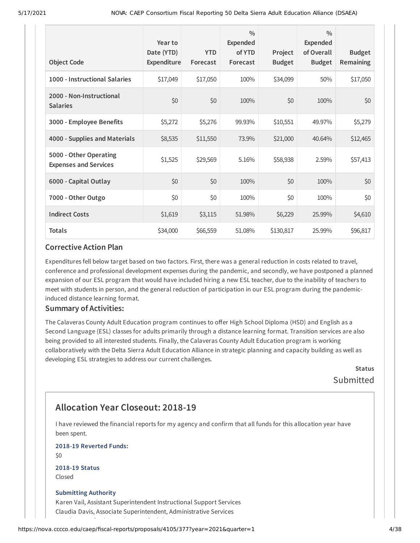| <b>Object Code</b>                                     | Year to<br>Date (YTD)<br>Expenditure | <b>YTD</b><br>Forecast | $\frac{0}{0}$<br>Expended<br>of YTD<br>Forecast | Project<br><b>Budget</b> | $\frac{0}{0}$<br><b>Expended</b><br>of Overall<br><b>Budget</b> | <b>Budget</b><br><b>Remaining</b> |
|--------------------------------------------------------|--------------------------------------|------------------------|-------------------------------------------------|--------------------------|-----------------------------------------------------------------|-----------------------------------|
| 1000 - Instructional Salaries                          | \$17,049                             | \$17,050               | 100%                                            | \$34,099                 | 50%                                                             | \$17,050                          |
| 2000 - Non-Instructional<br><b>Salaries</b>            | \$0                                  | \$0                    | 100%                                            | \$0                      | 100%                                                            | \$0                               |
| 3000 - Employee Benefits                               | \$5,272                              | \$5,276                | 99.93%                                          | \$10,551                 | 49.97%                                                          | \$5,279                           |
| 4000 - Supplies and Materials                          | \$8,535                              | \$11,550               | 73.9%                                           | \$21,000                 | 40.64%                                                          | \$12,465                          |
| 5000 - Other Operating<br><b>Expenses and Services</b> | \$1,525                              | \$29,569               | 5.16%                                           | \$58,938                 | 2.59%                                                           | \$57,413                          |
| 6000 - Capital Outlay                                  | \$0                                  | \$0                    | 100%                                            | \$0                      | 100%                                                            | \$0                               |
| 7000 - Other Outgo                                     | \$0                                  | \$0                    | 100%                                            | \$0                      | 100%                                                            | \$0                               |
| <b>Indirect Costs</b>                                  | \$1,619                              | \$3,115                | 51.98%                                          | \$6,229                  | 25.99%                                                          | \$4,610                           |
| <b>Totals</b>                                          | \$34,000                             | \$66,559               | 51.08%                                          | \$130,817                | 25.99%                                                          | \$96,817                          |

Expenditures fell below target based on two factors. First, there was a general reduction in costs related to travel, conference and professional development expenses during the pandemic, and secondly, we have postponed a planned expansion of our ESL program that would have included hiring a new ESL teacher, due to the inability of teachers to meet with students in person, and the general reduction of participation in our ESL program during the pandemicinduced distance learning format.

#### **Summary of Activities:**

The Calaveras County Adult Education program continues to offer High School Diploma (HSD) and English as a Second Language (ESL) classes for adults primarily through a distance learning format. Transition services are also being provided to all interested students. Finally, the Calaveras County Adult Education program is working collaboratively with the Delta Sierra Adult Education Alliance in strategic planning and capacity building as well as developing ESL strategies to address our current challenges.

> **Status** Submitted

## **Allocation Year Closeout: 2018-19**

I have reviewed the financial reports for my agency and confirm that all funds for this allocation year have been spent.

**2018-19 Reverted Funds:**

 $$0$$ 

**2018-19 Status** Closed

#### **Submitting Authority**

Karen Vail, Assistant Superintendent Instructional Support Services Claudia Davis, Associate Superintendent, Administrative Services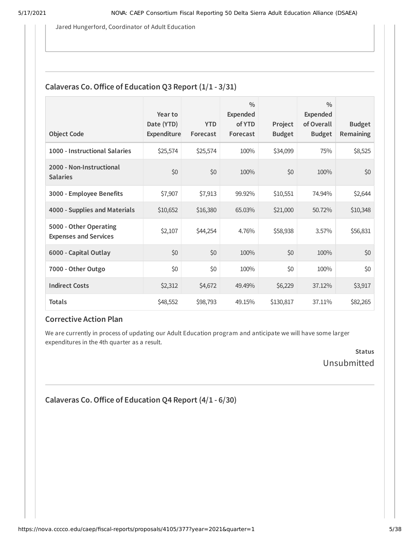Jared Hungerford, Coordinator of Adult Education

### **Calaveras Co. Office of Education Q3 Report**  $(1/1 - 3/31)$

| <b>Object Code</b>                                     | Year to<br>Date (YTD)<br>Expenditure | <b>YTD</b><br>Forecast | $\frac{0}{0}$<br><b>Expended</b><br>of YTD<br>Forecast | Project<br><b>Budget</b> | $\frac{0}{0}$<br>Expended<br>of Overall<br><b>Budget</b> | <b>Budget</b><br><b>Remaining</b> |
|--------------------------------------------------------|--------------------------------------|------------------------|--------------------------------------------------------|--------------------------|----------------------------------------------------------|-----------------------------------|
| 1000 - Instructional Salaries                          | \$25,574                             | \$25,574               | 100%                                                   | \$34,099                 | 75%                                                      | \$8,525                           |
| 2000 - Non-Instructional<br><b>Salaries</b>            | \$0                                  | \$0                    | 100%                                                   | \$0                      | 100%                                                     | \$0                               |
| 3000 - Employee Benefits                               | \$7,907                              | \$7,913                | 99.92%                                                 | \$10,551                 | 74.94%                                                   | \$2,644                           |
| 4000 - Supplies and Materials                          | \$10,652                             | \$16,380               | 65.03%                                                 | \$21,000                 | 50.72%                                                   | \$10,348                          |
| 5000 - Other Operating<br><b>Expenses and Services</b> | \$2,107                              | \$44,254               | 4.76%                                                  | \$58,938                 | 3.57%                                                    | \$56,831                          |
| 6000 - Capital Outlay                                  | \$0                                  | \$0                    | 100%                                                   | \$0                      | 100%                                                     | \$0                               |
| 7000 - Other Outgo                                     | \$0                                  | \$0                    | 100%                                                   | \$0                      | 100%                                                     | \$0                               |
| <b>Indirect Costs</b>                                  | \$2,312                              | \$4,672                | 49.49%                                                 | \$6,229                  | 37.12%                                                   | \$3,917                           |
| <b>Totals</b>                                          | \$48,552                             | \$98,793               | 49.15%                                                 | \$130,817                | 37.11%                                                   | \$82,265                          |

#### **Corrective Action Plan**

We are currently in process of updating our Adult Education program and anticipate we will have some larger expenditures in the 4th quarter as a result.

> **Status** Unsubmitted

```
Calaveras Co.Oice of Education Q4 Report (4/1 - 6/30)
```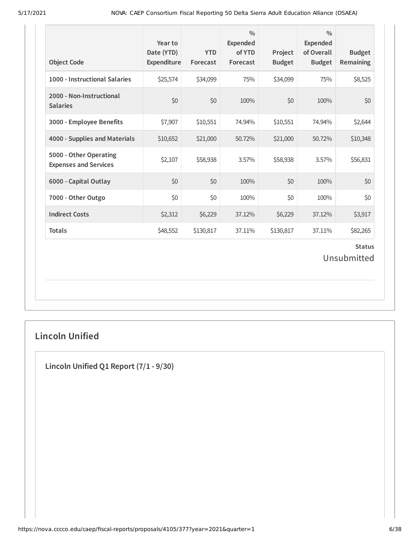| <b>Object Code</b>                                     | Year to<br>Date (YTD)<br>Expenditure | <b>YTD</b><br>Forecast | $\frac{0}{0}$<br><b>Expended</b><br>of YTD<br>Forecast | Project<br><b>Budget</b> | $\frac{0}{0}$<br><b>Expended</b><br>of Overall<br><b>Budget</b> | <b>Budget</b><br>Remaining   |
|--------------------------------------------------------|--------------------------------------|------------------------|--------------------------------------------------------|--------------------------|-----------------------------------------------------------------|------------------------------|
| 1000 - Instructional Salaries                          | \$25,574                             | \$34,099               | 75%                                                    | \$34,099                 | 75%                                                             | \$8,525                      |
| 2000 - Non-Instructional<br><b>Salaries</b>            | \$0                                  | \$0                    | 100%                                                   | \$0                      | 100%                                                            | \$0                          |
| 3000 - Employee Benefits                               | \$7,907                              | \$10,551               | 74.94%                                                 | \$10,551                 | 74.94%                                                          | \$2,644                      |
| 4000 - Supplies and Materials                          | \$10,652                             | \$21,000               | 50.72%                                                 | \$21,000                 | 50.72%                                                          | \$10,348                     |
| 5000 - Other Operating<br><b>Expenses and Services</b> | \$2,107                              | \$58,938               | 3.57%                                                  | \$58,938                 | 3.57%                                                           | \$56,831                     |
| 6000 - Capital Outlay                                  | \$0                                  | \$0                    | 100%                                                   | \$0                      | 100%                                                            | \$0                          |
| 7000 - Other Outgo                                     | \$0                                  | \$0                    | 100%                                                   | \$0                      | 100%                                                            | \$0                          |
| <b>Indirect Costs</b>                                  | \$2,312                              | \$6,229                | 37.12%                                                 | \$6,229                  | 37.12%                                                          | \$3,917                      |
| <b>Totals</b>                                          | \$48,552                             | \$130,817              | 37.11%                                                 | \$130,817                | 37.11%                                                          | \$82,265                     |
|                                                        |                                      |                        |                                                        |                          |                                                                 | <b>Status</b><br>Unsubmitted |

## **Lincoln Unified**

**Lincoln Unified Q1 Report (7/1 - 9/30)**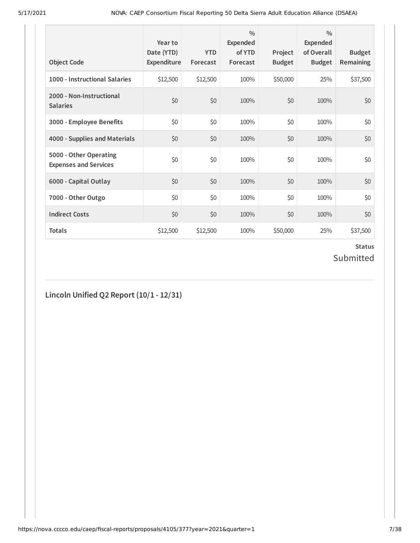| <b>Object Code</b>                                     | Year to<br>Date (YTD)<br>Expenditure | <b>YTD</b><br>Forecast | $\frac{0}{0}$<br><b>Expended</b><br>of YTD<br>Forecast | Project<br><b>Budget</b> | $\frac{0}{0}$<br>Expended<br>of Overall<br><b>Budget</b> | <b>Budget</b><br>Remaining |
|--------------------------------------------------------|--------------------------------------|------------------------|--------------------------------------------------------|--------------------------|----------------------------------------------------------|----------------------------|
| 1000 - Instructional Salaries                          | \$12,500                             | \$12,500               | 100%                                                   | \$50,000                 | 25%                                                      | \$37,500                   |
| 2000 - Non-Instructional<br><b>Salaries</b>            | \$0                                  | \$0                    | 100%                                                   | \$0                      | 100%                                                     | \$0                        |
| 3000 - Employee Benefits                               | \$0                                  | \$0                    | 100%                                                   | \$0                      | 100%                                                     | \$0                        |
| 4000 - Supplies and Materials                          | \$0                                  | \$0                    | 100%                                                   | \$0                      | 100%                                                     | \$0                        |
| 5000 - Other Operating<br><b>Expenses and Services</b> | \$0                                  | \$0                    | 100%                                                   | \$0                      | 100%                                                     | \$0                        |
| 6000 - Capital Outlay                                  | \$0                                  | \$0                    | 100%                                                   | \$0                      | 100%                                                     | \$0                        |
| 7000 - Other Outgo                                     | \$0                                  | \$0                    | 100%                                                   | \$0                      | 100%                                                     | \$0                        |
| <b>Indirect Costs</b>                                  | \$0                                  | \$0                    | 100%                                                   | \$0                      | 100%                                                     | \$0                        |
| <b>Totals</b>                                          | \$12,500                             | \$12,500               | 100%                                                   | \$50,000                 | 25%                                                      | \$37,500                   |

### **Status** Submitted

**Lincoln Unified Q2 Report (10/1 - 12/31)**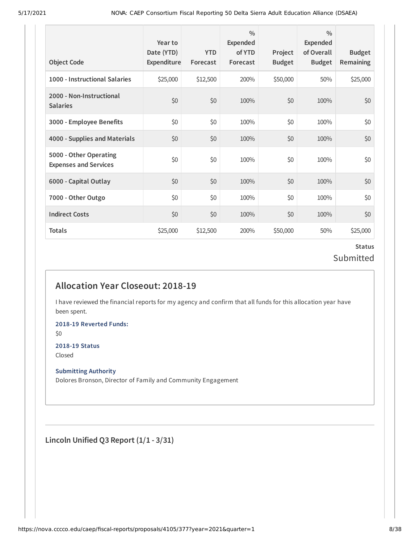| <b>Object Code</b>                                     | Year to<br>Date (YTD)<br>Expenditure | <b>YTD</b><br>Forecast | $\frac{0}{0}$<br>Expended<br>of YTD<br>Forecast | Project<br><b>Budget</b> | $\frac{0}{0}$<br>Expended<br>of Overall<br><b>Budget</b> | <b>Budget</b><br><b>Remaining</b> |
|--------------------------------------------------------|--------------------------------------|------------------------|-------------------------------------------------|--------------------------|----------------------------------------------------------|-----------------------------------|
| 1000 - Instructional Salaries                          | \$25,000                             | \$12,500               | 200%                                            | \$50,000                 | 50%                                                      | \$25,000                          |
| 2000 - Non-Instructional<br><b>Salaries</b>            | \$0                                  | \$0                    | 100%                                            | \$0                      | 100%                                                     | \$0                               |
| 3000 - Employee Benefits                               | \$0                                  | \$0                    | 100%                                            | \$0                      | 100%                                                     | \$0                               |
| 4000 - Supplies and Materials                          | \$0                                  | \$0                    | 100%                                            | \$0                      | 100%                                                     | \$0                               |
| 5000 - Other Operating<br><b>Expenses and Services</b> | \$0                                  | \$0                    | 100%                                            | \$0                      | 100%                                                     | \$0                               |
| 6000 - Capital Outlay                                  | \$0                                  | \$0                    | 100%                                            | \$0                      | 100%                                                     | \$0                               |
| 7000 - Other Outgo                                     | \$0                                  | \$0                    | 100%                                            | \$0                      | 100%                                                     | \$0\$                             |
| <b>Indirect Costs</b>                                  | \$0                                  | \$0                    | 100%                                            | \$0                      | 100%                                                     | \$0                               |
| <b>Totals</b>                                          | \$25,000                             | \$12,500               | 200%                                            | \$50,000                 | 50%                                                      | \$25,000                          |

## **Status** Submitted

## **Allocation Year Closeout: 2018-19**

I have reviewed the financial reports for my agency and confirm that all funds for this allocation year have been spent.

**2018-19 Reverted Funds:**

\$0

#### **2018-19 Status**

Closed

#### **Submitting Authority**

Dolores Bronson, Director of Family and Community Engagement

**Lincoln Unified Q3 Report (1/1 - 3/31)**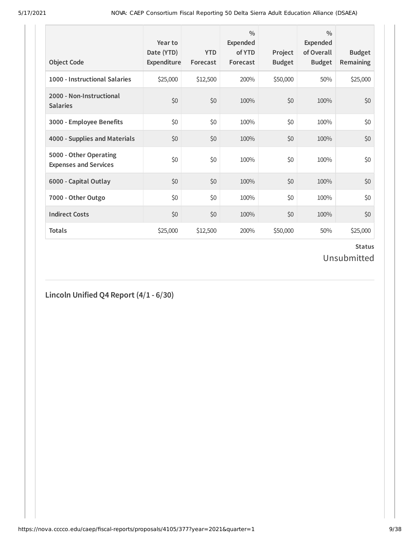| <b>Object Code</b>                                     | Year to<br>Date (YTD)<br>Expenditure | <b>YTD</b><br>Forecast | $\frac{0}{0}$<br><b>Expended</b><br>of YTD<br>Forecast | Project<br><b>Budget</b> | $\frac{0}{0}$<br><b>Expended</b><br>of Overall<br><b>Budget</b> | <b>Budget</b><br>Remaining |
|--------------------------------------------------------|--------------------------------------|------------------------|--------------------------------------------------------|--------------------------|-----------------------------------------------------------------|----------------------------|
| 1000 - Instructional Salaries                          | \$25,000                             | \$12,500               | 200%                                                   | \$50,000                 | 50%                                                             | \$25,000                   |
| 2000 - Non-Instructional<br><b>Salaries</b>            | \$0                                  | \$0                    | 100%                                                   | \$0                      | 100%                                                            | \$0                        |
| 3000 - Employee Benefits                               | \$0                                  | \$0                    | 100%                                                   | \$0                      | 100%                                                            | \$0                        |
| 4000 - Supplies and Materials                          | \$0                                  | \$0                    | 100%                                                   | \$0                      | 100%                                                            | \$0                        |
| 5000 - Other Operating<br><b>Expenses and Services</b> | \$0                                  | \$0                    | 100%                                                   | \$0                      | 100%                                                            | \$0                        |
| 6000 - Capital Outlay                                  | \$0                                  | \$0                    | 100%                                                   | \$0                      | 100%                                                            | \$0                        |
| 7000 - Other Outgo                                     | \$0                                  | \$0                    | 100%                                                   | \$0                      | 100%                                                            | \$0                        |
| <b>Indirect Costs</b>                                  | \$0                                  | \$0                    | 100%                                                   | \$0                      | 100%                                                            | \$0                        |
| <b>Totals</b>                                          | \$25,000                             | \$12,500               | 200%                                                   | \$50,000                 | 50%                                                             | \$25,000                   |

### **Status** Unsubmitted

## **Lincoln Unified Q4 Report (4/1 - 6/30)**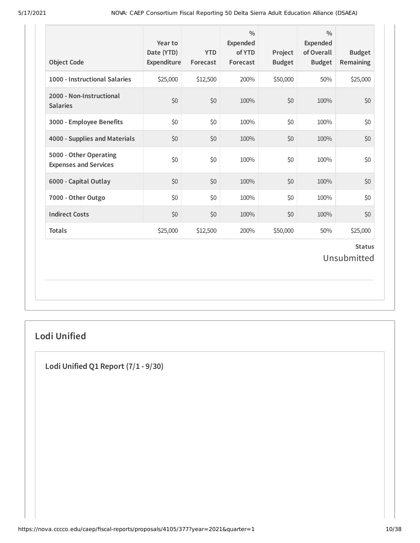| 1000 - Instructional Salaries<br>2000 - Non-Instructional<br><b>Salaries</b> | \$25,000<br>\$0 | \$12,500 | 200% | \$50,000 | 50%  |                              |
|------------------------------------------------------------------------------|-----------------|----------|------|----------|------|------------------------------|
|                                                                              |                 |          |      |          |      | \$25,000                     |
|                                                                              |                 | \$0      | 100% | \$0      | 100% | \$0                          |
| 3000 - Employee Benefits                                                     | \$0             | \$0      | 100% | \$0      | 100% | \$0                          |
| 4000 - Supplies and Materials                                                | \$0             | \$0      | 100% | \$0      | 100% | \$0                          |
| 5000 - Other Operating<br><b>Expenses and Services</b>                       | \$0             | \$0      | 100% | \$0      | 100% | \$0                          |
| 6000 - Capital Outlay                                                        | \$0             | \$0      | 100% | \$0      | 100% | \$0                          |
| 7000 - Other Outgo                                                           | \$0             | \$0      | 100% | \$0      | 100% | \$0                          |
| <b>Indirect Costs</b>                                                        | \$0             | \$0      | 100% | \$0      | 100% | \$0                          |
| <b>Totals</b>                                                                | \$25,000        | \$12,500 | 200% | \$50,000 | 50%  | \$25,000                     |
|                                                                              |                 |          |      |          |      | <b>Status</b><br>Unsubmitted |

## **Lodi Unified**

**Lodi Unified Q1 Report (7/1 - 9/30)**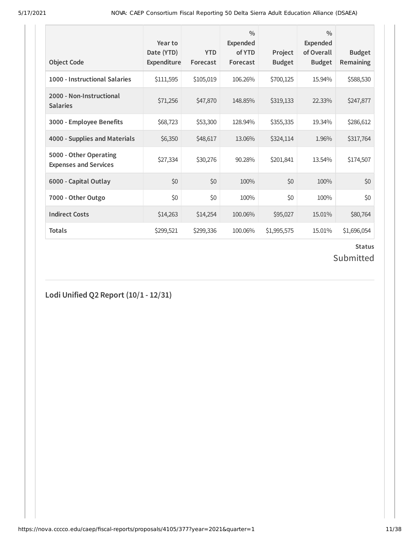| <b>Object Code</b>                                     | Year to<br>Date (YTD)<br><b>Expenditure</b> | <b>YTD</b><br>Forecast | $\frac{0}{0}$<br><b>Expended</b><br>of YTD<br>Forecast | Project<br><b>Budget</b> | $\frac{0}{0}$<br><b>Expended</b><br>of Overall<br><b>Budget</b> | <b>Budget</b><br><b>Remaining</b> |
|--------------------------------------------------------|---------------------------------------------|------------------------|--------------------------------------------------------|--------------------------|-----------------------------------------------------------------|-----------------------------------|
| 1000 - Instructional Salaries                          | \$111,595                                   | \$105,019              | 106.26%                                                | \$700,125                | 15.94%                                                          | \$588,530                         |
| 2000 - Non-Instructional<br><b>Salaries</b>            | \$71,256                                    | \$47,870               | 148.85%                                                | \$319,133                | 22.33%                                                          | \$247,877                         |
| 3000 - Employee Benefits                               | \$68,723                                    | \$53,300               | 128.94%                                                | \$355,335                | 19.34%                                                          | \$286,612                         |
| 4000 - Supplies and Materials                          | \$6,350                                     | \$48,617               | 13.06%                                                 | \$324,114                | 1.96%                                                           | \$317,764                         |
| 5000 - Other Operating<br><b>Expenses and Services</b> | \$27,334                                    | \$30,276               | 90.28%                                                 | \$201,841                | 13.54%                                                          | \$174,507                         |
| 6000 - Capital Outlay                                  | \$0                                         | \$0                    | 100%                                                   | \$0                      | 100%                                                            | \$0                               |
| 7000 - Other Outgo                                     | \$0                                         | \$0                    | 100%                                                   | \$0                      | 100%                                                            | \$0                               |
| <b>Indirect Costs</b>                                  | \$14,263                                    | \$14,254               | 100.06%                                                | \$95,027                 | 15.01%                                                          | \$80,764                          |
| <b>Totals</b>                                          | \$299,521                                   | \$299,336              | 100.06%                                                | \$1,995,575              | 15.01%                                                          | \$1,696,054                       |

## Submitted

**Lodi Unified Q2 Report (10/1 - 12/31)**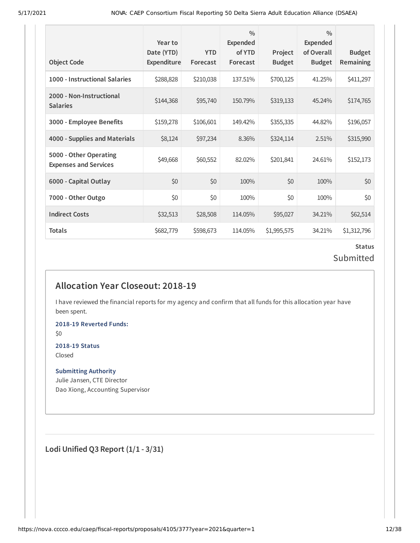| <b>Object Code</b>                                     | Year to<br>Date (YTD)<br>Expenditure | <b>YTD</b><br>Forecast | $\frac{0}{0}$<br>Expended<br>of YTD<br>Forecast | Project<br><b>Budget</b> | $\frac{0}{0}$<br>Expended<br>of Overall<br><b>Budget</b> | <b>Budget</b><br>Remaining |
|--------------------------------------------------------|--------------------------------------|------------------------|-------------------------------------------------|--------------------------|----------------------------------------------------------|----------------------------|
| 1000 - Instructional Salaries                          | \$288,828                            | \$210,038              | 137.51%                                         | \$700,125                | 41.25%                                                   | \$411,297                  |
| 2000 - Non-Instructional<br><b>Salaries</b>            | \$144,368                            | \$95,740               | 150.79%                                         | \$319,133                | 45.24%                                                   | \$174,765                  |
| 3000 - Employee Benefits                               | \$159,278                            | \$106,601              | 149.42%                                         | \$355,335                | 44.82%                                                   | \$196,057                  |
| 4000 - Supplies and Materials                          | \$8,124                              | \$97,234               | 8.36%                                           | \$324,114                | 2.51%                                                    | \$315,990                  |
| 5000 - Other Operating<br><b>Expenses and Services</b> | \$49,668                             | \$60,552               | 82.02%                                          | \$201,841                | 24.61%                                                   | \$152,173                  |
| 6000 - Capital Outlay                                  | \$0                                  | \$0                    | 100%                                            | \$0                      | 100%                                                     | \$0                        |
| 7000 - Other Outgo                                     | \$0                                  | \$0                    | 100%                                            | \$0                      | 100%                                                     | \$0                        |
| <b>Indirect Costs</b>                                  | \$32,513                             | \$28,508               | 114.05%                                         | \$95,027                 | 34.21%                                                   | \$62,514                   |
| Totals                                                 | \$682,779                            | \$598,673              | 114.05%                                         | \$1,995,575              | 34.21%                                                   | \$1,312,796                |

### **Status** Submitted

## **Allocation Year Closeout: 2018-19**

I have reviewed the financial reports for my agency and confirm that all funds for this allocation year have been spent.

**2018-19 Reverted Funds:**

\$0

#### **2018-19 Status** Closed

**Submitting Authority**

Julie Jansen, CTE Director Dao Xiong, Accounting Supervisor

**Lodi Unified Q3 Report (1/1 - 3/31)**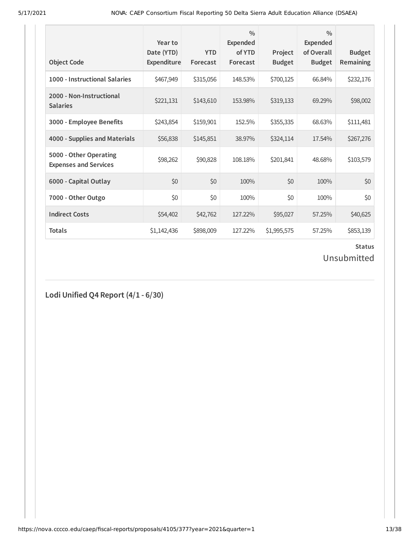| <b>Object Code</b>                                     | Year to<br>Date (YTD)<br>Expenditure | <b>YTD</b><br>Forecast | $\frac{0}{0}$<br><b>Expended</b><br>of YTD<br>Forecast | Project<br><b>Budget</b> | $\frac{0}{0}$<br><b>Expended</b><br>of Overall<br><b>Budget</b> | <b>Budget</b><br><b>Remaining</b> |
|--------------------------------------------------------|--------------------------------------|------------------------|--------------------------------------------------------|--------------------------|-----------------------------------------------------------------|-----------------------------------|
| 1000 - Instructional Salaries                          | \$467,949                            | \$315,056              | 148.53%                                                | \$700,125                | 66.84%                                                          | \$232,176                         |
| 2000 - Non-Instructional<br><b>Salaries</b>            | \$221,131                            | \$143,610              | 153.98%                                                | \$319,133                | 69.29%                                                          | \$98,002                          |
| 3000 - Employee Benefits                               | \$243,854                            | \$159,901              | 152.5%                                                 | \$355,335                | 68.63%                                                          | \$111,481                         |
| 4000 - Supplies and Materials                          | \$56,838                             | \$145,851              | 38.97%                                                 | \$324,114                | 17.54%                                                          | \$267,276                         |
| 5000 - Other Operating<br><b>Expenses and Services</b> | \$98,262                             | \$90,828               | 108.18%                                                | \$201,841                | 48.68%                                                          | \$103,579                         |
| 6000 - Capital Outlay                                  | \$0                                  | \$0                    | 100%                                                   | \$0                      | 100%                                                            | \$0                               |
| 7000 - Other Outgo                                     | \$0                                  | \$0                    | 100%                                                   | \$0                      | 100%                                                            | \$0                               |
| <b>Indirect Costs</b>                                  | \$54,402                             | \$42,762               | 127.22%                                                | \$95,027                 | 57.25%                                                          | \$40,625                          |
| <b>Totals</b>                                          | \$1,142,436                          | \$898,009              | 127.22%                                                | \$1,995,575              | 57.25%                                                          | \$853,139                         |

## Unsubmitted

**Lodi Unified Q4 Report (4/1 - 6/30)**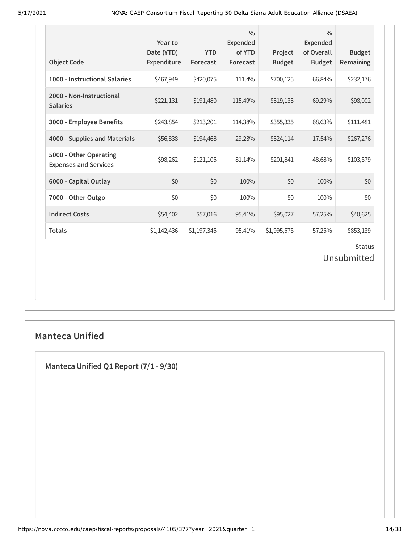| <b>Object Code</b>                                     | Year to<br>Date (YTD)<br>Expenditure | <b>YTD</b><br>Forecast | $\frac{0}{0}$<br><b>Expended</b><br>of YTD<br>Forecast | Project<br><b>Budget</b> | $\frac{0}{0}$<br><b>Expended</b><br>of Overall<br><b>Budget</b> | <b>Budget</b><br><b>Remaining</b> |  |
|--------------------------------------------------------|--------------------------------------|------------------------|--------------------------------------------------------|--------------------------|-----------------------------------------------------------------|-----------------------------------|--|
| 1000 - Instructional Salaries                          | \$467,949                            | \$420,075              | 111.4%                                                 | \$700,125                | 66.84%                                                          | \$232,176                         |  |
| 2000 - Non-Instructional<br><b>Salaries</b>            | \$221,131                            | \$191,480              | 115.49%                                                | \$319,133                | 69.29%                                                          | \$98,002                          |  |
| 3000 - Employee Benefits                               | \$243,854                            | \$213,201              | 114.38%                                                | \$355,335                | 68.63%                                                          | \$111,481                         |  |
| 4000 - Supplies and Materials                          | \$56,838                             | \$194,468              | 29.23%                                                 | \$324,114                | 17.54%                                                          | \$267,276                         |  |
| 5000 - Other Operating<br><b>Expenses and Services</b> | \$98,262                             | \$121,105              | 81.14%                                                 | \$201,841                | 48.68%                                                          | \$103,579                         |  |
| 6000 - Capital Outlay                                  | \$0                                  | \$0                    | 100%                                                   | \$0                      | 100%                                                            | \$0                               |  |
| 7000 - Other Outgo                                     | \$0                                  | \$0                    | 100%                                                   | \$0                      | 100%                                                            | \$0                               |  |
| <b>Indirect Costs</b>                                  | \$54,402                             | \$57,016               | 95.41%                                                 | \$95,027                 | 57.25%                                                          | \$40,625                          |  |
| <b>Totals</b>                                          | \$1,142,436                          | \$1,197,345            | 95.41%                                                 | \$1,995,575              | 57.25%                                                          | \$853,139                         |  |
| <b>Status</b><br>Unsubmitted                           |                                      |                        |                                                        |                          |                                                                 |                                   |  |

## **Manteca Unified**

**Manteca Unified Q1 Report (7/1 - 9/30)**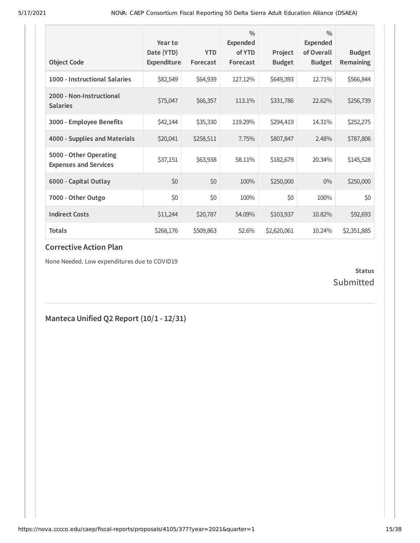| <b>Object Code</b>                                     | Year to<br>Date (YTD)<br>Expenditure | <b>YTD</b><br>Forecast | $\frac{0}{0}$<br>Expended<br>of YTD<br>Forecast | Project<br><b>Budget</b> | $\frac{0}{0}$<br><b>Expended</b><br>of Overall<br><b>Budget</b> | <b>Budget</b><br>Remaining |
|--------------------------------------------------------|--------------------------------------|------------------------|-------------------------------------------------|--------------------------|-----------------------------------------------------------------|----------------------------|
| 1000 - Instructional Salaries                          | \$82,549                             | \$64,939               | 127.12%                                         | \$649,393                | 12.71%                                                          | \$566,844                  |
| 2000 - Non-Instructional<br><b>Salaries</b>            | \$75,047                             | \$66,357               | 113.1%                                          | \$331,786                | 22.62%                                                          | \$256,739                  |
| 3000 - Employee Benefits                               | \$42,144                             | \$35,330               | 119.29%                                         | \$294,419                | 14.31%                                                          | \$252,275                  |
| 4000 - Supplies and Materials                          | \$20,041                             | \$258,511              | 7.75%                                           | \$807,847                | 2.48%                                                           | \$787,806                  |
| 5000 - Other Operating<br><b>Expenses and Services</b> | \$37,151                             | \$63,938               | 58.11%                                          | \$182,679                | 20.34%                                                          | \$145,528                  |
| 6000 - Capital Outlay                                  | \$0                                  | \$0                    | 100%                                            | \$250,000                | $0\%$                                                           | \$250,000                  |
| 7000 - Other Outgo                                     | \$0                                  | \$0                    | 100%                                            | \$0                      | 100%                                                            | \$0                        |
| <b>Indirect Costs</b>                                  | \$11,244                             | \$20,787               | 54.09%                                          | \$103,937                | 10.82%                                                          | \$92,693                   |
| <b>Totals</b>                                          | \$268,176                            | \$509,863              | 52.6%                                           | \$2,620,061              | 10.24%                                                          | \$2,351,885                |

None Needed. Low expenditures due to COVID19

### **Status** Submitted

## **Manteca Unified Q2 Report (10/1 - 12/31)**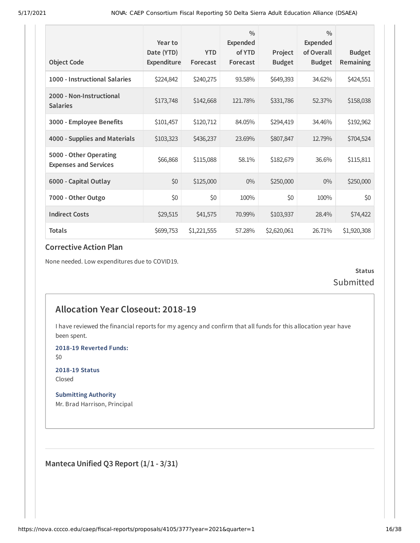|                                                        | Year to<br>Date (YTD) | <b>YTD</b>  | $\frac{0}{0}$<br>Expended<br>of YTD | Project       | $\frac{0}{0}$<br><b>Expended</b><br>of Overall | <b>Budget</b> |
|--------------------------------------------------------|-----------------------|-------------|-------------------------------------|---------------|------------------------------------------------|---------------|
| <b>Object Code</b>                                     | Expenditure           | Forecast    | Forecast                            | <b>Budget</b> | <b>Budget</b>                                  | Remaining     |
| 1000 - Instructional Salaries                          | \$224,842             | \$240,275   | 93.58%                              | \$649,393     | 34.62%                                         | \$424,551     |
| 2000 - Non-Instructional<br><b>Salaries</b>            | \$173,748             | \$142,668   | 121.78%                             | \$331,786     | 52.37%                                         | \$158,038     |
| 3000 - Employee Benefits                               | \$101,457             | \$120,712   | 84.05%                              | \$294,419     | 34.46%                                         | \$192,962     |
| 4000 - Supplies and Materials                          | \$103,323             | \$436,237   | 23.69%                              | \$807,847     | 12.79%                                         | \$704,524     |
| 5000 - Other Operating<br><b>Expenses and Services</b> | \$66,868              | \$115,088   | 58.1%                               | \$182,679     | 36.6%                                          | \$115,811     |
| 6000 - Capital Outlay                                  | \$0                   | \$125,000   | $0\%$                               | \$250,000     | $0\%$                                          | \$250,000     |
| 7000 - Other Outgo                                     | \$0                   | \$0         | 100%                                | \$0           | 100%                                           | \$0           |
| <b>Indirect Costs</b>                                  | \$29,515              | \$41,575    | 70.99%                              | \$103,937     | 28.4%                                          | \$74,422      |
| <b>Totals</b>                                          | \$699,753             | \$1,221,555 | 57.28%                              | \$2,620,061   | 26.71%                                         | \$1,920,308   |

None needed. Low expenditures due to COVID19.

**Status** Submitted

## **Allocation Year Closeout: 2018-19**

I have reviewed the financial reports for my agency and confirm that all funds for this allocation year have been spent.

**2018-19 Reverted Funds:**

\$0

**2018-19 Status** Closed

**Submitting Authority** Mr. Brad Harrison, Principal

**Manteca Unified Q3 Report (1/1 - 3/31)**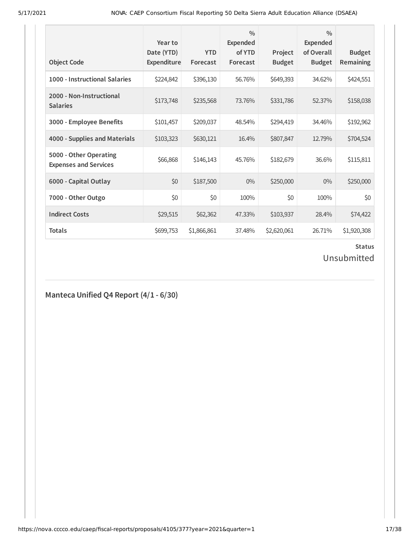| <b>Object Code</b>                                     | Year to<br>Date (YTD)<br><b>Expenditure</b> | <b>YTD</b><br>Forecast | $\frac{0}{0}$<br>Expended<br>of YTD<br>Forecast | Project<br><b>Budget</b> | $\frac{0}{0}$<br><b>Expended</b><br>of Overall<br><b>Budget</b> | <b>Budget</b><br><b>Remaining</b> |
|--------------------------------------------------------|---------------------------------------------|------------------------|-------------------------------------------------|--------------------------|-----------------------------------------------------------------|-----------------------------------|
| 1000 - Instructional Salaries                          | \$224,842                                   | \$396,130              | 56.76%                                          | \$649,393                | 34.62%                                                          | \$424,551                         |
| 2000 - Non-Instructional<br><b>Salaries</b>            | \$173,748                                   | \$235,568              | 73.76%                                          | \$331,786                | 52.37%                                                          | \$158,038                         |
| 3000 - Employee Benefits                               | \$101,457                                   | \$209,037              | 48.54%                                          | \$294,419                | 34.46%                                                          | \$192,962                         |
| 4000 - Supplies and Materials                          | \$103,323                                   | \$630,121              | 16.4%                                           | \$807,847                | 12.79%                                                          | \$704,524                         |
| 5000 - Other Operating<br><b>Expenses and Services</b> | \$66,868                                    | \$146,143              | 45.76%                                          | \$182,679                | 36.6%                                                           | \$115,811                         |
| 6000 - Capital Outlay                                  | \$0                                         | \$187,500              | $0\%$                                           | \$250,000                | $0\%$                                                           | \$250,000                         |
| 7000 - Other Outgo                                     | \$0                                         | \$0                    | 100%                                            | \$0                      | 100%                                                            | \$0                               |
| <b>Indirect Costs</b>                                  | \$29,515                                    | \$62,362               | 47.33%                                          | \$103,937                | 28.4%                                                           | \$74,422                          |
| <b>Totals</b>                                          | \$699,753                                   | \$1,866,861            | 37.48%                                          | \$2,620,061              | 26.71%                                                          | \$1,920,308                       |

## Unsubmitted

**Manteca Unified Q4 Report (4/1 - 6/30)**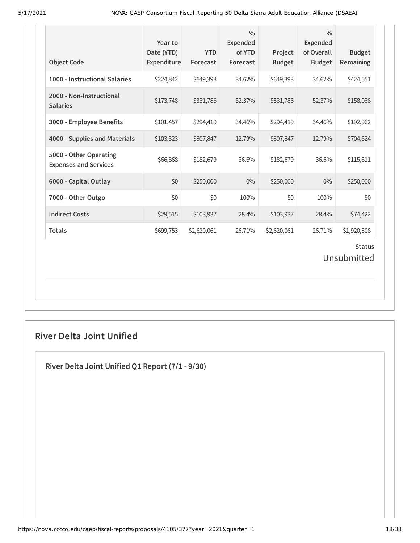| <b>Object Code</b>                                     | Year to<br>Date (YTD)<br>Expenditure | <b>YTD</b><br>Forecast | $\frac{0}{0}$<br><b>Expended</b><br>of YTD<br>Forecast | Project<br><b>Budget</b> | $\frac{0}{0}$<br>Expended<br>of Overall<br><b>Budget</b> | <b>Budget</b><br>Remaining |  |
|--------------------------------------------------------|--------------------------------------|------------------------|--------------------------------------------------------|--------------------------|----------------------------------------------------------|----------------------------|--|
| 1000 - Instructional Salaries                          | \$224,842                            | \$649,393              | 34.62%                                                 | \$649,393                | 34.62%                                                   | \$424,551                  |  |
| 2000 - Non-Instructional<br><b>Salaries</b>            | \$173,748                            | \$331,786              | 52.37%                                                 | \$331,786                | 52.37%                                                   | \$158,038                  |  |
| 3000 - Employee Benefits                               | \$101,457                            | \$294,419              | 34.46%                                                 | \$294,419                | 34.46%                                                   | \$192,962                  |  |
| 4000 - Supplies and Materials                          | \$103,323                            | \$807,847              | 12.79%                                                 | \$807,847                | 12.79%                                                   | \$704,524                  |  |
| 5000 - Other Operating<br><b>Expenses and Services</b> | \$66,868                             | \$182,679              | 36.6%                                                  | \$182,679                | 36.6%                                                    | \$115,811                  |  |
| 6000 - Capital Outlay                                  | \$0                                  | \$250,000              | $0\%$                                                  | \$250,000                | $0\%$                                                    | \$250,000                  |  |
| 7000 - Other Outgo                                     | \$0                                  | \$0                    | 100%                                                   | \$0                      | 100%                                                     | \$0                        |  |
| <b>Indirect Costs</b>                                  | \$29,515                             | \$103,937              | 28.4%                                                  | \$103,937                | 28.4%                                                    | \$74,422                   |  |
| <b>Totals</b>                                          | \$699,753                            | \$2,620,061            | 26.71%                                                 | \$2,620,061              | 26.71%                                                   | \$1,920,308                |  |
| <b>Status</b><br>Unsubmitted                           |                                      |                        |                                                        |                          |                                                          |                            |  |

## **River Delta Joint Unified**

**River Delta Joint Unified Q1 Report (7/1 - 9/30)**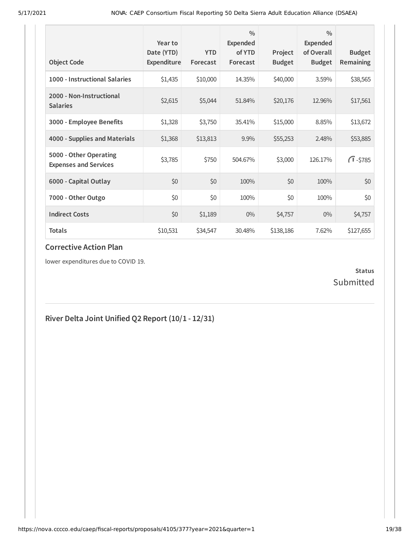| <b>Object Code</b>                                     | Year to<br>Date (YTD)<br>Expenditure | <b>YTD</b><br>Forecast | $\frac{0}{0}$<br>Expended<br>of YTD<br>Forecast | Project<br><b>Budget</b> | $\frac{0}{0}$<br>Expended<br>of Overall<br><b>Budget</b> | <b>Budget</b><br>Remaining |
|--------------------------------------------------------|--------------------------------------|------------------------|-------------------------------------------------|--------------------------|----------------------------------------------------------|----------------------------|
| 1000 - Instructional Salaries                          | \$1,435                              | \$10,000               | 14.35%                                          | \$40,000                 | 3.59%                                                    | \$38,565                   |
| 2000 - Non-Instructional<br><b>Salaries</b>            | \$2,615                              | \$5,044                | 51.84%                                          | \$20,176                 | 12.96%                                                   | \$17,561                   |
| 3000 - Employee Benefits                               | \$1,328                              | \$3,750                | 35.41%                                          | \$15,000                 | 8.85%                                                    | \$13,672                   |
| 4000 - Supplies and Materials                          | \$1,368                              | \$13,813               | 9.9%                                            | \$55,253                 | 2.48%                                                    | \$53,885                   |
| 5000 - Other Operating<br><b>Expenses and Services</b> | \$3,785                              | \$750                  | 504.67%                                         | \$3,000                  | 126.17%                                                  | $\sqrt{1} - $785$          |
| 6000 - Capital Outlay                                  | \$0                                  | \$0                    | 100%                                            | \$0                      | 100%                                                     | \$0                        |
| 7000 - Other Outgo                                     | \$0                                  | \$0                    | 100%                                            | \$0                      | 100%                                                     | \$0                        |
| <b>Indirect Costs</b>                                  | \$0                                  | \$1,189                | $0\%$                                           | \$4,757                  | $0\%$                                                    | \$4,757                    |
| <b>Totals</b>                                          | \$10,531                             | \$34,547               | 30.48%                                          | \$138,186                | 7.62%                                                    | \$127,655                  |

lower expenditures due to COVID 19.

### **Status** Submitted

## **River Delta Joint Unified Q2 Report (10/1 - 12/31)**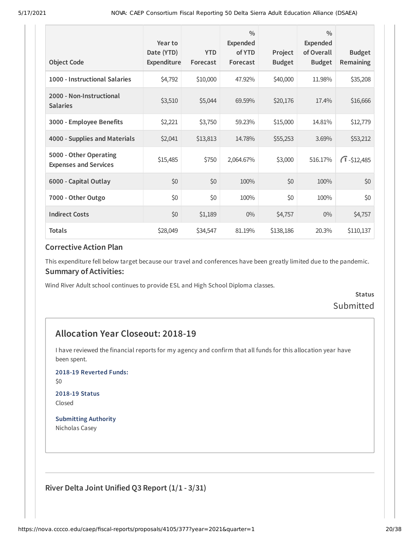| <b>Object Code</b>                                     | Year to<br>Date (YTD)<br>Expenditure | <b>YTD</b><br>Forecast | $\frac{0}{0}$<br>Expended<br>of YTD<br>Forecast | Project<br><b>Budget</b> | $\frac{0}{0}$<br>Expended<br>of Overall<br><b>Budget</b> | <b>Budget</b><br>Remaining |
|--------------------------------------------------------|--------------------------------------|------------------------|-------------------------------------------------|--------------------------|----------------------------------------------------------|----------------------------|
| 1000 - Instructional Salaries                          | \$4,792                              | \$10,000               | 47.92%                                          | \$40,000                 | 11.98%                                                   | \$35,208                   |
| 2000 - Non-Instructional<br><b>Salaries</b>            | \$3,510                              | \$5,044                | 69.59%                                          | \$20,176                 | 17.4%                                                    | \$16,666                   |
| 3000 - Employee Benefits                               | \$2,221                              | \$3,750                | 59.23%                                          | \$15,000                 | 14.81%                                                   | \$12,779                   |
| 4000 - Supplies and Materials                          | \$2,041                              | \$13,813               | 14.78%                                          | \$55,253                 | 3.69%                                                    | \$53,212                   |
| 5000 - Other Operating<br><b>Expenses and Services</b> | \$15,485                             | \$750                  | 2,064.67%                                       | \$3,000                  | 516.17%                                                  | $\sqrt{1} - $12,485$       |
| 6000 - Capital Outlay                                  | \$0                                  | \$0                    | 100%                                            | \$0                      | 100%                                                     | \$0                        |
| 7000 - Other Outgo                                     | \$0                                  | \$0                    | 100%                                            | \$0                      | 100%                                                     | \$0                        |
| <b>Indirect Costs</b>                                  | \$0                                  | \$1,189                | $0\%$                                           | \$4,757                  | $0\%$                                                    | \$4,757                    |
| <b>Totals</b>                                          | \$28,049                             | \$34,547               | 81.19%                                          | \$138,186                | 20.3%                                                    | \$110,137                  |

This expenditure fell below target because our travel and conferences have been greatly limited due to the pandemic. **Summary of Activities:**

Wind River Adult school continues to provide ESL and High School Diploma classes.

**Status** Submitted

## **Allocation Year Closeout: 2018-19**

I have reviewed the financial reports for my agency and confirm that all funds for this allocation year have been spent.

**2018-19 Reverted Funds:**

\$0

**2018-19 Status** Closed

**Submitting Authority** Nicholas Casey

**River Delta Joint Unified Q3 Report (1/1 - 3/31)**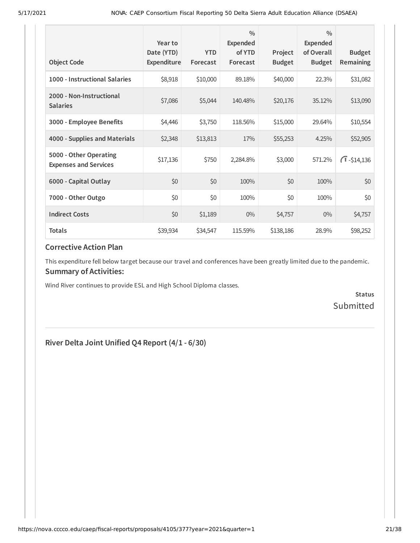| <b>Object Code</b>                                     | Year to<br>Date (YTD)<br>Expenditure | <b>YTD</b><br>Forecast | $\frac{0}{0}$<br>Expended<br>of YTD<br>Forecast | Project<br><b>Budget</b> | $\frac{0}{0}$<br>Expended<br>of Overall<br><b>Budget</b> | <b>Budget</b><br>Remaining |
|--------------------------------------------------------|--------------------------------------|------------------------|-------------------------------------------------|--------------------------|----------------------------------------------------------|----------------------------|
| 1000 - Instructional Salaries                          | \$8,918                              | \$10,000               | 89.18%                                          | \$40,000                 | 22.3%                                                    | \$31,082                   |
| 2000 - Non-Instructional<br><b>Salaries</b>            | \$7,086                              | \$5,044                | 140.48%                                         | \$20,176                 | 35.12%                                                   | \$13,090                   |
| 3000 - Employee Benefits                               | \$4,446                              | \$3,750                | 118.56%                                         | \$15,000                 | 29.64%                                                   | \$10,554                   |
| 4000 - Supplies and Materials                          | \$2,348                              | \$13,813               | 17%                                             | \$55,253                 | 4.25%                                                    | \$52,905                   |
| 5000 - Other Operating<br><b>Expenses and Services</b> | \$17,136                             | \$750                  | 2,284.8%                                        | \$3,000                  | 571.2%                                                   | $\sqrt{1} - $14,136$       |
| 6000 - Capital Outlay                                  | \$0                                  | \$0                    | 100%                                            | \$0                      | 100%                                                     | \$0                        |
| 7000 - Other Outgo                                     | \$0                                  | \$0                    | 100%                                            | \$0                      | 100%                                                     | \$0                        |
| <b>Indirect Costs</b>                                  | \$0                                  | \$1,189                | $0\%$                                           | \$4,757                  | $0\%$                                                    | \$4,757                    |
| <b>Totals</b>                                          | \$39,934                             | \$34,547               | 115.59%                                         | \$138,186                | 28.9%                                                    | \$98,252                   |

This expenditure fell below target because our travel and conferences have been greatly limited due to the pandemic. **Summary of Activities:**

Wind River continues to provide ESL and High School Diploma classes.

**Status Submitted** 

### **River Delta Joint Unified Q4 Report (4/1 - 6/30)**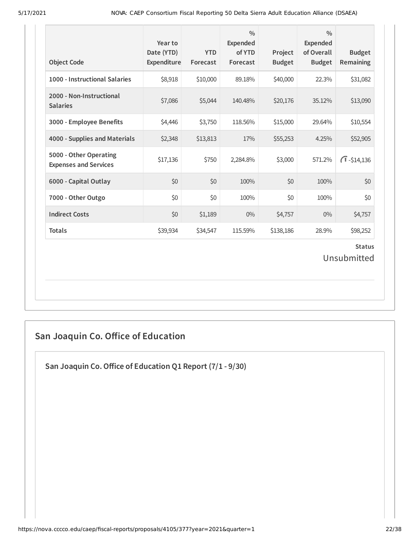| <b>Object Code</b>                                     | Year to<br>Date (YTD)<br>Expenditure | <b>YTD</b><br>Forecast | $\frac{0}{0}$<br><b>Expended</b><br>of YTD<br>Forecast | Project<br><b>Budget</b> | $\frac{0}{0}$<br><b>Expended</b><br>of Overall<br><b>Budget</b> | <b>Budget</b><br>Remaining |  |
|--------------------------------------------------------|--------------------------------------|------------------------|--------------------------------------------------------|--------------------------|-----------------------------------------------------------------|----------------------------|--|
| 1000 - Instructional Salaries                          | \$8,918                              | \$10,000               | 89.18%                                                 | \$40,000                 | 22.3%                                                           | \$31,082                   |  |
| 2000 - Non-Instructional<br><b>Salaries</b>            | \$7,086                              | \$5,044                | 140.48%                                                | \$20,176                 | 35.12%                                                          | \$13,090                   |  |
| 3000 - Employee Benefits                               | \$4,446                              | \$3,750                | 118.56%                                                | \$15,000                 | 29.64%                                                          | \$10,554                   |  |
| 4000 - Supplies and Materials                          | \$2,348                              | \$13,813               | 17%                                                    | \$55,253                 | 4.25%                                                           | \$52,905                   |  |
| 5000 - Other Operating<br><b>Expenses and Services</b> | \$17,136                             | \$750                  | 2,284.8%                                               | \$3,000                  | 571.2%                                                          | $\bigcap$ -\$14,136        |  |
| 6000 - Capital Outlay                                  | \$0                                  | \$0                    | 100%                                                   | \$0                      | 100%                                                            | \$0                        |  |
| 7000 - Other Outgo                                     | \$0                                  | \$0                    | 100%                                                   | \$0                      | 100%                                                            | \$0                        |  |
| <b>Indirect Costs</b>                                  | \$0                                  | \$1,189                | $0\%$                                                  | \$4,757                  | 0%                                                              | \$4,757                    |  |
| <b>Totals</b>                                          | \$39,934                             | \$34,547               | 115.59%                                                | \$138,186                | 28.9%                                                           | \$98,252                   |  |
| <b>Status</b><br>Unsubmitted                           |                                      |                        |                                                        |                          |                                                                 |                            |  |

## **San Joaquin Co. Oice of Education**

**San Joaquin Co.Oice of Education Q1 Report (7/1 - 9/30)**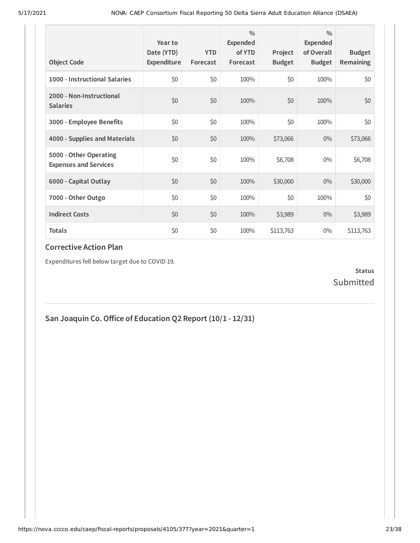| <b>Object Code</b>                                     | Year to<br>Date (YTD)<br>Expenditure | <b>YTD</b><br>Forecast | $\frac{0}{0}$<br>Expended<br>of YTD<br>Forecast | Project<br><b>Budget</b> | $\frac{0}{0}$<br>Expended<br>of Overall<br><b>Budget</b> | <b>Budget</b><br><b>Remaining</b> |
|--------------------------------------------------------|--------------------------------------|------------------------|-------------------------------------------------|--------------------------|----------------------------------------------------------|-----------------------------------|
| 1000 - Instructional Salaries                          | \$0                                  | \$0                    | 100%                                            | \$0                      | 100%                                                     | \$0                               |
| 2000 - Non-Instructional<br><b>Salaries</b>            | \$0                                  | \$0                    | 100%                                            | \$0                      | 100%                                                     | \$0                               |
| 3000 - Employee Benefits                               | \$0                                  | \$0                    | 100%                                            | \$0                      | 100%                                                     | \$0                               |
| 4000 - Supplies and Materials                          | \$0                                  | \$0                    | 100%                                            | \$73,066                 | $0\%$                                                    | \$73,066                          |
| 5000 - Other Operating<br><b>Expenses and Services</b> | \$0                                  | \$0                    | 100%                                            | \$6,708                  | $0\%$                                                    | \$6,708                           |
| 6000 - Capital Outlay                                  | \$0                                  | \$0                    | 100%                                            | \$30,000                 | $0\%$                                                    | \$30,000                          |
| 7000 - Other Outgo                                     | \$0                                  | \$0                    | 100%                                            | \$0                      | 100%                                                     | \$0                               |
| <b>Indirect Costs</b>                                  | \$0                                  | \$0                    | 100%                                            | \$3,989                  | $0\%$                                                    | \$3,989                           |
| <b>Totals</b>                                          | \$0                                  | \$0                    | 100%                                            | \$113,763                | $0\%$                                                    | \$113,763                         |

Expenditures fell below target due to COVID 19.

### **Status** Submitted

**San Joaquin Co.Oice of Education Q2 Report (10/1 - 12/31)**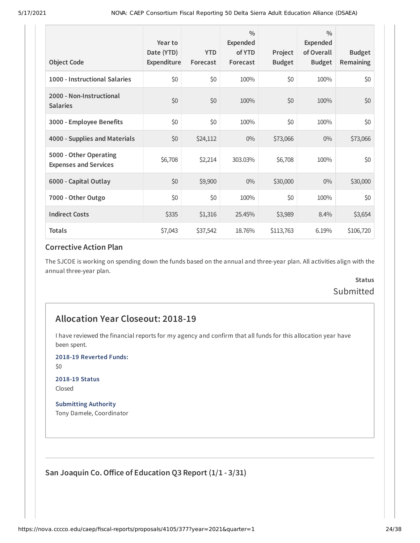| <b>Object Code</b>                                     | Year to<br>Date (YTD)<br>Expenditure | <b>YTD</b><br>Forecast | $\frac{0}{0}$<br>Expended<br>of YTD<br>Forecast | Project<br><b>Budget</b> | $\frac{0}{0}$<br>Expended<br>of Overall<br><b>Budget</b> | <b>Budget</b><br><b>Remaining</b> |
|--------------------------------------------------------|--------------------------------------|------------------------|-------------------------------------------------|--------------------------|----------------------------------------------------------|-----------------------------------|
| 1000 - Instructional Salaries                          | \$0                                  | \$0                    | 100%                                            | \$0                      | 100%                                                     | \$0                               |
| 2000 - Non-Instructional<br><b>Salaries</b>            | \$0                                  | \$0                    | 100%                                            | \$0                      | 100%                                                     | \$0                               |
| 3000 - Employee Benefits                               | \$0                                  | \$0                    | 100%                                            | \$0                      | 100%                                                     | \$0                               |
| 4000 - Supplies and Materials                          | \$0                                  | \$24,112               | $0\%$                                           | \$73,066                 | $0\%$                                                    | \$73,066                          |
| 5000 - Other Operating<br><b>Expenses and Services</b> | \$6,708                              | \$2,214                | 303.03%                                         | \$6,708                  | 100%                                                     | \$0                               |
| 6000 - Capital Outlay                                  | \$0                                  | \$9,900                | $0\%$                                           | \$30,000                 | $0\%$                                                    | \$30,000                          |
| 7000 - Other Outgo                                     | \$0                                  | \$0                    | 100%                                            | \$0                      | 100%                                                     | \$0                               |
| <b>Indirect Costs</b>                                  | \$335                                | \$1,316                | 25.45%                                          | \$3,989                  | 8.4%                                                     | \$3,654                           |
| <b>Totals</b>                                          | \$7,043                              | \$37,542               | 18.76%                                          | \$113,763                | 6.19%                                                    | \$106,720                         |

The SJCOE is working on spending down the funds based on the annual and three-year plan. All activities align with the annual three-year plan.

## **Status** Submitted

### **Allocation Year Closeout: 2018-19**

I have reviewed the financial reports for my agency and confirm that all funds for this allocation year have been spent.

**2018-19 Reverted Funds:**

\$0

**2018-19 Status** Closed

**Submitting Authority** Tony Damele, Coordinator

**San Joaquin Co.Oice of Education Q3 Report (1/1 - 3/31)**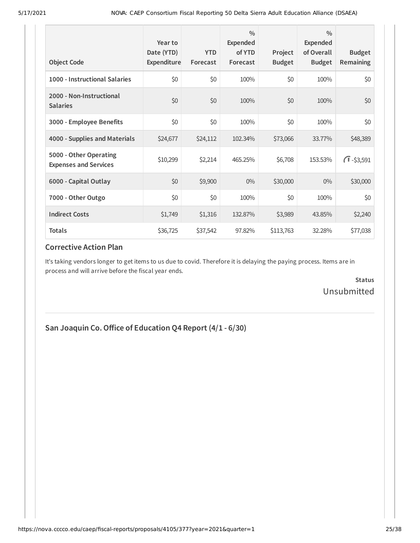| <b>Object Code</b>                                     | Year to<br>Date (YTD)<br>Expenditure | <b>YTD</b><br>Forecast | $\frac{0}{0}$<br>Expended<br>of YTD<br>Forecast | Project<br><b>Budget</b> | $\frac{0}{0}$<br><b>Expended</b><br>of Overall<br><b>Budget</b> | <b>Budget</b><br><b>Remaining</b> |
|--------------------------------------------------------|--------------------------------------|------------------------|-------------------------------------------------|--------------------------|-----------------------------------------------------------------|-----------------------------------|
| 1000 - Instructional Salaries                          | \$0                                  | \$0                    | 100%                                            | \$0                      | 100%                                                            | \$0                               |
| 2000 - Non-Instructional<br><b>Salaries</b>            | \$0                                  | \$0                    | 100%                                            | \$0                      | 100%                                                            | \$0                               |
| 3000 - Employee Benefits                               | \$0                                  | \$0                    | 100%                                            | \$0                      | 100%                                                            | \$0                               |
| 4000 - Supplies and Materials                          | \$24,677                             | \$24,112               | 102.34%                                         | \$73,066                 | 33.77%                                                          | \$48,389                          |
| 5000 - Other Operating<br><b>Expenses and Services</b> | \$10,299                             | \$2,214                | 465.25%                                         | \$6,708                  | 153.53%                                                         | $\sqrt{1} - $3,591$               |
| 6000 - Capital Outlay                                  | \$0                                  | \$9,900                | $0\%$                                           | \$30,000                 | $0\%$                                                           | \$30,000                          |
| 7000 - Other Outgo                                     | \$0                                  | \$0                    | 100%                                            | \$0                      | 100%                                                            | \$0                               |
| <b>Indirect Costs</b>                                  | \$1,749                              | \$1,316                | 132.87%                                         | \$3,989                  | 43.85%                                                          | \$2,240                           |
| <b>Totals</b>                                          | \$36,725                             | \$37,542               | 97.82%                                          | \$113,763                | 32.28%                                                          | \$77,038                          |

It's taking vendors longer to get items to us due to covid. Therefore it is delaying the paying process. Items are in process and will arrive before the fiscal year ends.

> **Status** Unsubmitted

**San Joaquin Co.Oice of Education Q4 Report (4/1 - 6/30)**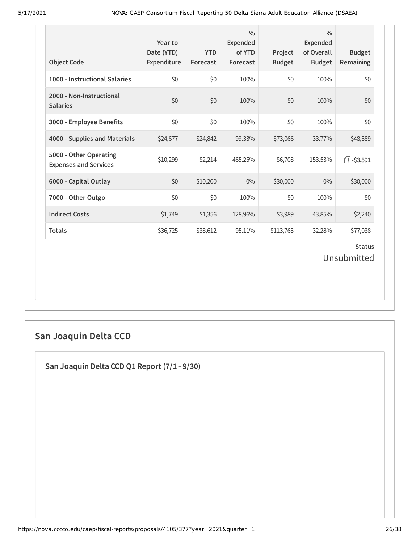| <b>Object Code</b>                                     | Year to<br>Date (YTD)<br>Expenditure | <b>YTD</b><br>Forecast | $\frac{0}{0}$<br><b>Expended</b><br>of YTD<br>Forecast | Project<br><b>Budget</b> | $\frac{0}{0}$<br><b>Expended</b><br>of Overall<br><b>Budget</b> | <b>Budget</b><br>Remaining |  |
|--------------------------------------------------------|--------------------------------------|------------------------|--------------------------------------------------------|--------------------------|-----------------------------------------------------------------|----------------------------|--|
| 1000 - Instructional Salaries                          | \$0                                  | \$0                    | 100%                                                   | \$0                      | 100%                                                            | \$0                        |  |
| 2000 - Non-Instructional<br><b>Salaries</b>            | \$0                                  | \$0                    | 100%                                                   | \$0                      | 100%                                                            | \$0                        |  |
| 3000 - Employee Benefits                               | \$0                                  | \$0                    | 100%                                                   | \$0                      | 100%                                                            | \$0                        |  |
| 4000 - Supplies and Materials                          | \$24,677                             | \$24,842               | 99.33%                                                 | \$73,066                 | 33.77%                                                          | \$48,389                   |  |
| 5000 - Other Operating<br><b>Expenses and Services</b> | \$10,299                             | \$2,214                | 465.25%                                                | \$6,708                  | 153.53%                                                         | $\sqrt{1} - $3,591$        |  |
| 6000 - Capital Outlay                                  | \$0                                  | \$10,200               | $0\%$                                                  | \$30,000                 | 0%                                                              | \$30,000                   |  |
| 7000 - Other Outgo                                     | \$0                                  | \$0                    | 100%                                                   | \$0                      | 100%                                                            | \$0                        |  |
| <b>Indirect Costs</b>                                  | \$1,749                              | \$1,356                | 128.96%                                                | \$3,989                  | 43.85%                                                          | \$2,240                    |  |
| <b>Totals</b>                                          | \$36,725                             | \$38,612               | 95.11%                                                 | \$113,763                | 32.28%                                                          | \$77,038                   |  |
| <b>Status</b><br>Unsubmitted                           |                                      |                        |                                                        |                          |                                                                 |                            |  |

## **San Joaquin Delta CCD**

**San Joaquin Delta CCD Q1 Report (7/1 - 9/30)**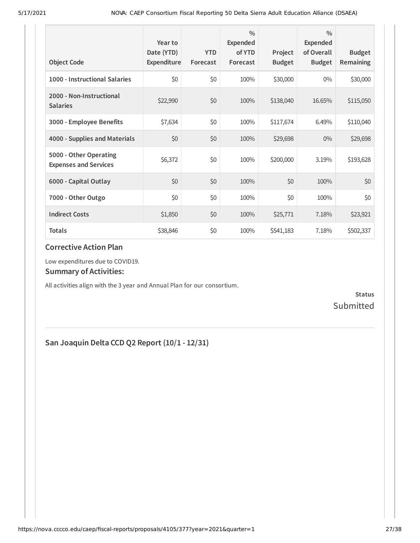| <b>Object Code</b>                                     | Year to<br>Date (YTD)<br>Expenditure | <b>YTD</b><br>Forecast | $\frac{0}{0}$<br>Expended<br>of YTD<br>Forecast | Project<br><b>Budget</b> | $\frac{0}{0}$<br>Expended<br>of Overall<br><b>Budget</b> | <b>Budget</b><br><b>Remaining</b> |
|--------------------------------------------------------|--------------------------------------|------------------------|-------------------------------------------------|--------------------------|----------------------------------------------------------|-----------------------------------|
| 1000 - Instructional Salaries                          | \$0                                  | \$0                    | 100%                                            | \$30,000                 | $0\%$                                                    | \$30,000                          |
| 2000 - Non-Instructional<br><b>Salaries</b>            | \$22,990                             | \$0                    | 100%                                            | \$138,040                | 16.65%                                                   | \$115,050                         |
| 3000 - Employee Benefits                               | \$7,634                              | \$0                    | 100%                                            | \$117,674                | 6.49%                                                    | \$110,040                         |
| 4000 - Supplies and Materials                          | \$0                                  | \$0                    | 100%                                            | \$29,698                 | $0\%$                                                    | \$29,698                          |
| 5000 - Other Operating<br><b>Expenses and Services</b> | \$6,372                              | \$0                    | 100%                                            | \$200,000                | 3.19%                                                    | \$193,628                         |
| 6000 - Capital Outlay                                  | \$0                                  | \$0                    | 100%                                            | \$0                      | 100%                                                     | \$0                               |
| 7000 - Other Outgo                                     | \$0                                  | \$0                    | 100%                                            | \$0                      | 100%                                                     | \$0                               |
| <b>Indirect Costs</b>                                  | \$1,850                              | \$0                    | 100%                                            | \$25,771                 | 7.18%                                                    | \$23,921                          |
| <b>Totals</b>                                          | \$38,846                             | \$0                    | 100%                                            | \$541,183                | 7.18%                                                    | \$502,337                         |

Low expenditures due to COVID19.

#### **Summary of Activities:**

All activities align with the 3 year and Annual Plan for our consortium.

**Status** Submitted

## **San Joaquin Delta CCD Q2 Report (10/1 - 12/31)**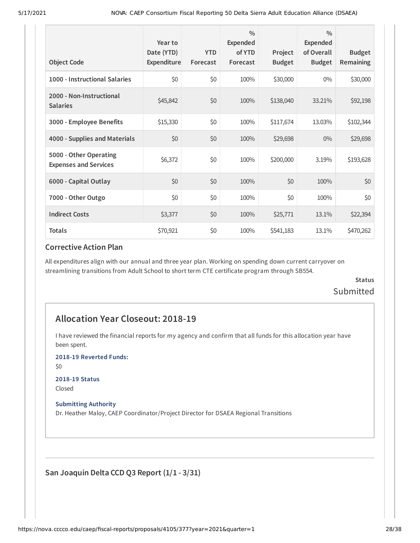| <b>Object Code</b>                                     | Year to<br>Date (YTD)<br>Expenditure | <b>YTD</b><br>Forecast | $\frac{0}{0}$<br>Expended<br>of YTD<br>Forecast | Project<br><b>Budget</b> | $\frac{0}{0}$<br><b>Expended</b><br>of Overall<br><b>Budget</b> | <b>Budget</b><br><b>Remaining</b> |
|--------------------------------------------------------|--------------------------------------|------------------------|-------------------------------------------------|--------------------------|-----------------------------------------------------------------|-----------------------------------|
| 1000 - Instructional Salaries                          | \$0                                  | \$0                    | 100%                                            | \$30,000                 | $0\%$                                                           | \$30,000                          |
| 2000 - Non-Instructional<br><b>Salaries</b>            | \$45,842                             | \$0                    | 100%                                            | \$138,040                | 33.21%                                                          | \$92,198                          |
| 3000 - Employee Benefits                               | \$15,330                             | \$0                    | 100%                                            | \$117,674                | 13.03%                                                          | \$102,344                         |
| 4000 - Supplies and Materials                          | \$0                                  | \$0                    | 100%                                            | \$29,698                 | $0\%$                                                           | \$29,698                          |
| 5000 - Other Operating<br><b>Expenses and Services</b> | \$6,372                              | \$0                    | 100%                                            | \$200,000                | 3.19%                                                           | \$193,628                         |
| 6000 - Capital Outlay                                  | \$0                                  | \$0                    | 100%                                            | \$0                      | 100%                                                            | \$0                               |
| 7000 - Other Outgo                                     | \$0                                  | \$0                    | 100%                                            | \$0                      | 100%                                                            | \$0                               |
| <b>Indirect Costs</b>                                  | \$3,377                              | \$0                    | 100%                                            | \$25,771                 | 13.1%                                                           | \$22,394                          |
| <b>Totals</b>                                          | \$70,921                             | \$0                    | 100%                                            | \$541,183                | 13.1%                                                           | \$470,262                         |

All expenditures align with our annual and three year plan. Working on spending down current carryover on streamlining transitions from Adult School to short term CTE certificate program through SB554.

### **Status** Submitted

### **Allocation Year Closeout: 2018-19**

I have reviewed the financial reports for my agency and confirm that all funds for this allocation year have been spent.

**2018-19 Reverted Funds:**

\$0

#### **2018-19 Status**

Closed

#### **Submitting Authority**

Dr. Heather Maloy, CAEP Coordinator/Project Director for DSAEA Regional Transitions

**San Joaquin Delta CCD Q3 Report (1/1 - 3/31)**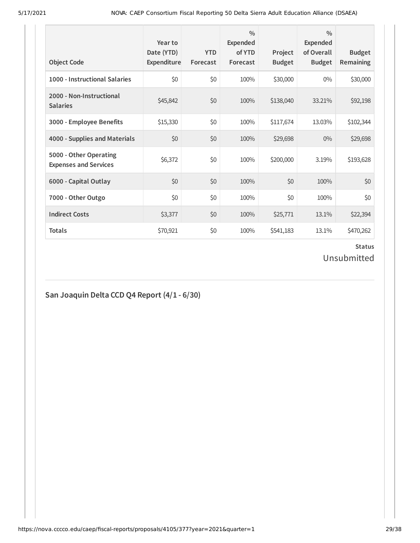| <b>Object Code</b>                                     | Year to<br>Date (YTD)<br>Expenditure | <b>YTD</b><br>Forecast | $\frac{0}{0}$<br>Expended<br>of YTD<br>Forecast | Project<br><b>Budget</b> | $\frac{0}{0}$<br><b>Expended</b><br>of Overall<br><b>Budget</b> | <b>Budget</b><br><b>Remaining</b> |
|--------------------------------------------------------|--------------------------------------|------------------------|-------------------------------------------------|--------------------------|-----------------------------------------------------------------|-----------------------------------|
| 1000 - Instructional Salaries                          | \$0                                  | \$0                    | 100%                                            | \$30,000                 | $0\%$                                                           | \$30,000                          |
| 2000 - Non-Instructional<br><b>Salaries</b>            | \$45,842                             | \$0                    | 100%                                            | \$138,040                | 33.21%                                                          | \$92,198                          |
| 3000 - Employee Benefits                               | \$15,330                             | \$0                    | 100%                                            | \$117,674                | 13.03%                                                          | \$102,344                         |
| 4000 - Supplies and Materials                          | \$0                                  | \$0                    | 100%                                            | \$29,698                 | $0\%$                                                           | \$29,698                          |
| 5000 - Other Operating<br><b>Expenses and Services</b> | \$6,372                              | \$0                    | 100%                                            | \$200,000                | 3.19%                                                           | \$193,628                         |
| 6000 - Capital Outlay                                  | \$0                                  | \$0                    | 100%                                            | \$0                      | 100%                                                            | \$0                               |
| 7000 - Other Outgo                                     | \$0                                  | \$0                    | 100%                                            | \$0                      | 100%                                                            | \$0                               |
| <b>Indirect Costs</b>                                  | \$3,377                              | \$0                    | 100%                                            | \$25,771                 | 13.1%                                                           | \$22,394                          |
| <b>Totals</b>                                          | \$70,921                             | \$0                    | 100%                                            | \$541,183                | 13.1%                                                           | \$470,262                         |

Unsubmitted

## **San Joaquin Delta CCD Q4 Report (4/1 - 6/30)**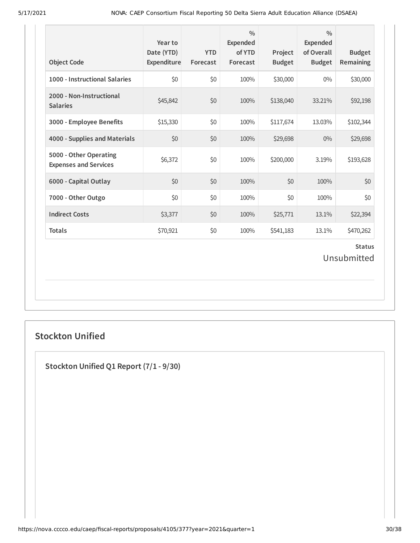| <b>Object Code</b>                                     | Year to<br>Date (YTD)<br>Expenditure | <b>YTD</b><br>Forecast | $\frac{0}{0}$<br><b>Expended</b><br>of YTD<br>Forecast | Project<br><b>Budget</b> | $\frac{0}{0}$<br><b>Expended</b><br>of Overall<br><b>Budget</b> | <b>Budget</b><br>Remaining |  |
|--------------------------------------------------------|--------------------------------------|------------------------|--------------------------------------------------------|--------------------------|-----------------------------------------------------------------|----------------------------|--|
| 1000 - Instructional Salaries                          | \$0                                  | \$0                    | 100%                                                   | \$30,000                 | $0\%$                                                           | \$30,000                   |  |
| 2000 - Non-Instructional<br><b>Salaries</b>            | \$45,842                             | \$0                    | 100%                                                   | \$138,040                | 33.21%                                                          | \$92,198                   |  |
| 3000 - Employee Benefits                               | \$15,330                             | \$0                    | 100%                                                   | \$117,674                | 13.03%                                                          | \$102,344                  |  |
| 4000 - Supplies and Materials                          | \$0                                  | \$0                    | 100%                                                   | \$29,698                 | $0\%$                                                           | \$29,698                   |  |
| 5000 - Other Operating<br><b>Expenses and Services</b> | \$6,372                              | \$0                    | 100%                                                   | \$200,000                | 3.19%                                                           | \$193,628                  |  |
| 6000 - Capital Outlay                                  | \$0                                  | \$0                    | 100%                                                   | \$0                      | 100%                                                            | \$0                        |  |
| 7000 - Other Outgo                                     | \$0                                  | \$0                    | 100%                                                   | \$0                      | 100%                                                            | \$0                        |  |
| <b>Indirect Costs</b>                                  | \$3,377                              | \$0                    | 100%                                                   | \$25,771                 | 13.1%                                                           | \$22,394                   |  |
| <b>Totals</b>                                          | \$70,921                             | \$0                    | 100%                                                   | \$541,183                | 13.1%                                                           | \$470,262                  |  |
| <b>Status</b><br>Unsubmitted                           |                                      |                        |                                                        |                          |                                                                 |                            |  |

## **Stockton Unified**

**Stockton Unified Q1 Report (7/1 - 9/30)**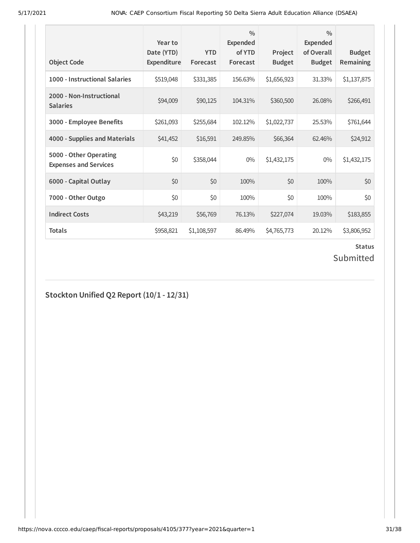| <b>Object Code</b>                                     | Year to<br>Date (YTD)<br>Expenditure | <b>YTD</b><br>Forecast | $\frac{0}{0}$<br><b>Expended</b><br>of YTD<br>Forecast | Project<br><b>Budget</b> | $\frac{0}{0}$<br>Expended<br>of Overall<br><b>Budget</b> | <b>Budget</b><br><b>Remaining</b> |
|--------------------------------------------------------|--------------------------------------|------------------------|--------------------------------------------------------|--------------------------|----------------------------------------------------------|-----------------------------------|
| 1000 - Instructional Salaries                          | \$519,048                            | \$331,385              | 156.63%                                                | \$1,656,923              | 31.33%                                                   | \$1,137,875                       |
| 2000 - Non-Instructional<br><b>Salaries</b>            | \$94,009                             | \$90,125               | 104.31%                                                | \$360,500                | 26.08%                                                   | \$266,491                         |
| 3000 - Employee Benefits                               | \$261,093                            | \$255,684              | 102.12%                                                | \$1,022,737              | 25.53%                                                   | \$761,644                         |
| 4000 - Supplies and Materials                          | \$41,452                             | \$16,591               | 249.85%                                                | \$66,364                 | 62.46%                                                   | \$24,912                          |
| 5000 - Other Operating<br><b>Expenses and Services</b> | \$0                                  | \$358,044              | $0\%$                                                  | \$1,432,175              | $0\%$                                                    | \$1,432,175                       |
| 6000 - Capital Outlay                                  | \$0                                  | \$0                    | 100%                                                   | \$0                      | 100%                                                     | \$0                               |
| 7000 - Other Outgo                                     | \$0                                  | \$0                    | 100%                                                   | \$0                      | 100%                                                     | \$0                               |
| <b>Indirect Costs</b>                                  | \$43,219                             | \$56,769               | 76.13%                                                 | \$227,074                | 19.03%                                                   | \$183,855                         |
| Totals                                                 | \$958,821                            | \$1,108,597            | 86.49%                                                 | \$4,765,773              | 20.12%                                                   | \$3,806,952                       |

## Submitted

**Stockton Unified Q2 Report (10/1 - 12/31)**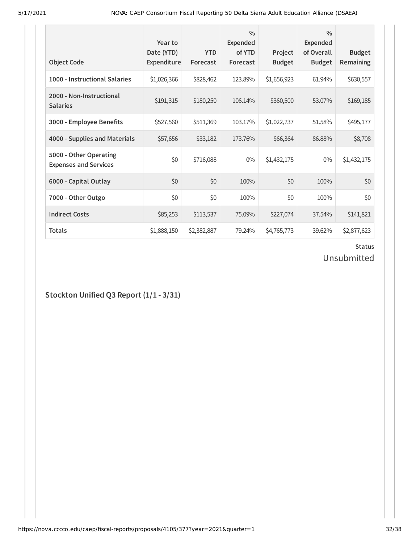| <b>Object Code</b>                                     | Year to<br>Date (YTD)<br>Expenditure | <b>YTD</b><br>Forecast | $\frac{0}{0}$<br><b>Expended</b><br>of YTD<br>Forecast | Project<br><b>Budget</b> | $\frac{0}{0}$<br><b>Expended</b><br>of Overall<br><b>Budget</b> | <b>Budget</b><br><b>Remaining</b> |
|--------------------------------------------------------|--------------------------------------|------------------------|--------------------------------------------------------|--------------------------|-----------------------------------------------------------------|-----------------------------------|
| 1000 - Instructional Salaries                          | \$1,026,366                          | \$828,462              | 123.89%                                                | \$1,656,923              | 61.94%                                                          | \$630,557                         |
| 2000 - Non-Instructional<br><b>Salaries</b>            | \$191,315                            | \$180,250              | 106.14%                                                | \$360,500                | 53.07%                                                          | \$169,185                         |
| 3000 - Employee Benefits                               | \$527,560                            | \$511,369              | 103.17%                                                | \$1,022,737              | 51.58%                                                          | \$495,177                         |
| 4000 - Supplies and Materials                          | \$57,656                             | \$33,182               | 173.76%                                                | \$66,364                 | 86.88%                                                          | \$8,708                           |
| 5000 - Other Operating<br><b>Expenses and Services</b> | \$0                                  | \$716,088              | $0\%$                                                  | \$1,432,175              | $0\%$                                                           | \$1,432,175                       |
| 6000 - Capital Outlay                                  | \$0                                  | \$0                    | 100%                                                   | \$0                      | 100%                                                            | \$0                               |
| 7000 - Other Outgo                                     | \$0                                  | \$0                    | 100%                                                   | \$0                      | 100%                                                            | \$0                               |
| <b>Indirect Costs</b>                                  | \$85,253                             | \$113,537              | 75.09%                                                 | \$227,074                | 37.54%                                                          | \$141,821                         |
| <b>Totals</b>                                          | \$1,888,150                          | \$2,382,887            | 79.24%                                                 | \$4,765,773              | 39.62%                                                          | \$2,877,623                       |

Unsubmitted

**Stockton Unified Q3 Report (1/1 - 3/31)**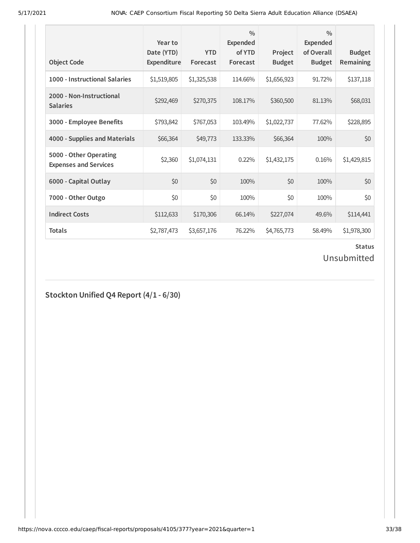| <b>Object Code</b>                                     | Year to<br>Date (YTD)<br>Expenditure | <b>YTD</b><br>Forecast | $\frac{0}{0}$<br>Expended<br>of YTD<br>Forecast | Project<br><b>Budget</b> | $\frac{0}{0}$<br>Expended<br>of Overall<br><b>Budget</b> | <b>Budget</b><br>Remaining |
|--------------------------------------------------------|--------------------------------------|------------------------|-------------------------------------------------|--------------------------|----------------------------------------------------------|----------------------------|
| 1000 - Instructional Salaries                          | \$1,519,805                          | \$1,325,538            | 114.66%                                         | \$1,656,923              | 91.72%                                                   | \$137,118                  |
| 2000 - Non-Instructional<br><b>Salaries</b>            | \$292,469                            | \$270,375              | 108.17%                                         | \$360,500                | 81.13%                                                   | \$68,031                   |
| 3000 - Employee Benefits                               | \$793,842                            | \$767,053              | 103.49%                                         | \$1,022,737              | 77.62%                                                   | \$228,895                  |
| 4000 - Supplies and Materials                          | \$66,364                             | \$49,773               | 133.33%                                         | \$66,364                 | 100%                                                     | \$0                        |
| 5000 - Other Operating<br><b>Expenses and Services</b> | \$2,360                              | \$1,074,131            | 0.22%                                           | \$1,432,175              | 0.16%                                                    | \$1,429,815                |
| 6000 - Capital Outlay                                  | \$0                                  | \$0                    | 100%                                            | \$0                      | 100%                                                     | \$0                        |
| 7000 - Other Outgo                                     | \$0                                  | \$0                    | 100%                                            | \$0                      | 100%                                                     | \$0                        |
| <b>Indirect Costs</b>                                  | \$112,633                            | \$170,306              | 66.14%                                          | \$227,074                | 49.6%                                                    | \$114,441                  |
| <b>Totals</b>                                          | \$2,787,473                          | \$3,657,176            | 76.22%                                          | \$4,765,773              | 58.49%                                                   | \$1,978,300                |

Unsubmitted

## **Stockton Unified Q4 Report (4/1 - 6/30)**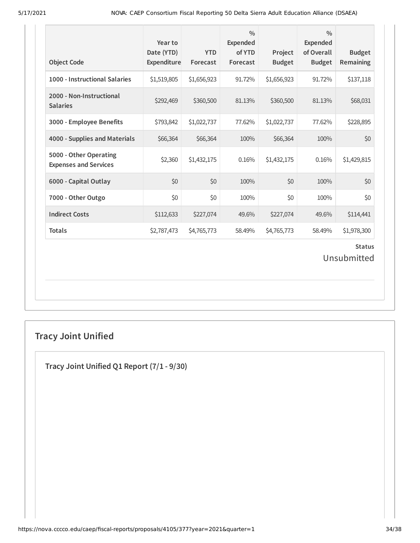| <b>Object Code</b>                                     | Year to<br>Date (YTD)<br>Expenditure | <b>YTD</b><br>Forecast | $\frac{0}{0}$<br><b>Expended</b><br>of YTD<br>Forecast | Project<br><b>Budget</b> | $\frac{0}{0}$<br><b>Expended</b><br>of Overall<br><b>Budget</b> | <b>Budget</b><br>Remaining |  |
|--------------------------------------------------------|--------------------------------------|------------------------|--------------------------------------------------------|--------------------------|-----------------------------------------------------------------|----------------------------|--|
| 1000 - Instructional Salaries                          | \$1,519,805                          | \$1,656,923            | 91.72%                                                 | \$1,656,923              | 91.72%                                                          | \$137,118                  |  |
| 2000 - Non-Instructional<br><b>Salaries</b>            | \$292,469                            | \$360,500              | 81.13%                                                 | \$360,500                | 81.13%                                                          | \$68,031                   |  |
| 3000 - Employee Benefits                               | \$793,842                            | \$1,022,737            | 77.62%                                                 | \$1,022,737              | 77.62%                                                          | \$228,895                  |  |
| 4000 - Supplies and Materials                          | \$66,364                             | \$66,364               | 100%                                                   | \$66,364                 | 100%                                                            | \$0                        |  |
| 5000 - Other Operating<br><b>Expenses and Services</b> | \$2,360                              | \$1,432,175            | 0.16%                                                  | \$1,432,175              | 0.16%                                                           | \$1,429,815                |  |
| 6000 - Capital Outlay                                  | \$0                                  | \$0                    | 100%                                                   | \$0                      | 100%                                                            | \$0                        |  |
| 7000 - Other Outgo                                     | \$0                                  | \$0                    | 100%                                                   | \$0                      | 100%                                                            | \$0                        |  |
| <b>Indirect Costs</b>                                  | \$112,633                            | \$227,074              | 49.6%                                                  | \$227,074                | 49.6%                                                           | \$114,441                  |  |
| <b>Totals</b>                                          | \$2,787,473                          | \$4,765,773            | 58.49%                                                 | \$4,765,773              | 58.49%                                                          | \$1,978,300                |  |
| <b>Status</b><br>Unsubmitted                           |                                      |                        |                                                        |                          |                                                                 |                            |  |

## **Tracy Joint Unified**

**Tracy Joint Unified Q1 Report (7/1 - 9/30)**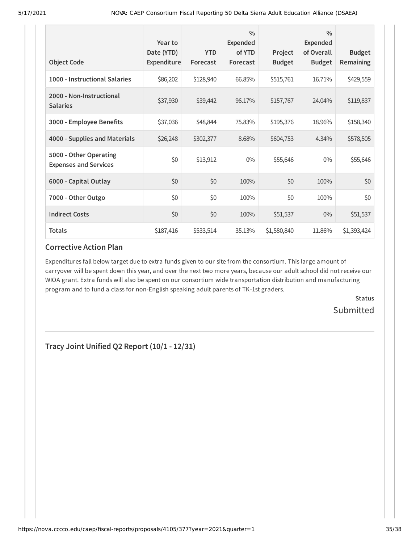| <b>Object Code</b>                                     | Year to<br>Date (YTD)<br>Expenditure | <b>YTD</b><br>Forecast | $\frac{0}{0}$<br><b>Expended</b><br>of YTD<br>Forecast | Project<br><b>Budget</b> | $\frac{0}{0}$<br>Expended<br>of Overall<br><b>Budget</b> | <b>Budget</b><br>Remaining |
|--------------------------------------------------------|--------------------------------------|------------------------|--------------------------------------------------------|--------------------------|----------------------------------------------------------|----------------------------|
| 1000 - Instructional Salaries                          | \$86,202                             | \$128,940              | 66.85%                                                 | \$515,761                | 16.71%                                                   | \$429,559                  |
| 2000 - Non-Instructional<br><b>Salaries</b>            | \$37,930                             | \$39,442               | 96.17%                                                 | \$157,767                | 24.04%                                                   | \$119,837                  |
| 3000 - Employee Benefits                               | \$37,036                             | \$48,844               | 75.83%                                                 | \$195,376                | 18.96%                                                   | \$158,340                  |
| 4000 - Supplies and Materials                          | \$26,248                             | \$302,377              | 8.68%                                                  | \$604,753                | 4.34%                                                    | \$578,505                  |
| 5000 - Other Operating<br><b>Expenses and Services</b> | \$0                                  | \$13,912               | $0\%$                                                  | \$55,646                 | $0\%$                                                    | \$55,646                   |
| 6000 - Capital Outlay                                  | \$0                                  | \$0                    | 100%                                                   | \$0                      | 100%                                                     | \$0                        |
| 7000 - Other Outgo                                     | \$0                                  | \$0                    | 100%                                                   | \$0                      | 100%                                                     | \$0                        |
| <b>Indirect Costs</b>                                  | \$0                                  | \$0                    | 100%                                                   | \$51,537                 | $0\%$                                                    | \$51,537                   |
| <b>Totals</b>                                          | \$187,416                            | \$533,514              | 35.13%                                                 | \$1,580,840              | 11.86%                                                   | \$1,393,424                |

Expenditures fall below target due to extra funds given to our site from the consortium. This large amount of carryover will be spent down this year, and over the next two more years, because our adult school did not receive our WIOA grant. Extra funds will also be spent on our consortium wide transportation distribution and manufacturing program and to fund a class for non-English speaking adult parents of TK-1st graders.

> **Status Submitted**

**Tracy Joint Unified Q2 Report (10/1 - 12/31)**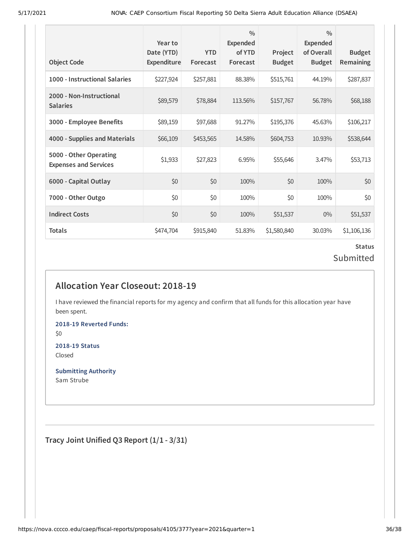| <b>Object Code</b>                                     | Year to<br>Date (YTD)<br>Expenditure | <b>YTD</b><br>Forecast | $\frac{0}{0}$<br>Expended<br>of YTD<br>Forecast | Project<br><b>Budget</b> | $\frac{0}{0}$<br>Expended<br>of Overall<br><b>Budget</b> | <b>Budget</b><br>Remaining |
|--------------------------------------------------------|--------------------------------------|------------------------|-------------------------------------------------|--------------------------|----------------------------------------------------------|----------------------------|
| 1000 - Instructional Salaries                          | \$227,924                            | \$257,881              | 88.38%                                          | \$515,761                | 44.19%                                                   | \$287,837                  |
| 2000 - Non-Instructional<br><b>Salaries</b>            | \$89,579                             | \$78,884               | 113.56%                                         | \$157,767                | 56.78%                                                   | \$68,188                   |
| 3000 - Employee Benefits                               | \$89,159                             | \$97,688               | 91.27%                                          | \$195,376                | 45.63%                                                   | \$106,217                  |
| 4000 - Supplies and Materials                          | \$66,109                             | \$453,565              | 14.58%                                          | \$604,753                | 10.93%                                                   | \$538,644                  |
| 5000 - Other Operating<br><b>Expenses and Services</b> | \$1,933                              | \$27,823               | 6.95%                                           | \$55,646                 | 3.47%                                                    | \$53,713                   |
| 6000 - Capital Outlay                                  | \$0                                  | \$0                    | 100%                                            | \$0                      | 100%                                                     | \$0                        |
| 7000 - Other Outgo                                     | \$0                                  | \$0                    | 100%                                            | \$0                      | 100%                                                     | \$0                        |
| <b>Indirect Costs</b>                                  | \$0                                  | \$0                    | 100%                                            | \$51,537                 | $0\%$                                                    | \$51,537                   |
| <b>Totals</b>                                          | \$474,704                            | \$915,840              | 51.83%                                          | \$1,580,840              | 30.03%                                                   | \$1,106,136                |

### **Status** Submitted

## **Allocation Year Closeout: 2018-19**

I have reviewed the financial reports for my agency and confirm that all funds for this allocation year have been spent.

**2018-19 Reverted Funds:** \$0

**2018-19 Status** Closed

**Submitting Authority** Sam Strube

**Tracy Joint Unified Q3 Report (1/1 - 3/31)**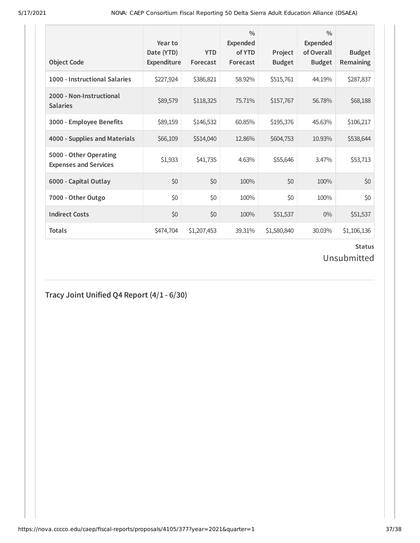| <b>Object Code</b>                                     | Year to<br>Date (YTD)<br><b>Expenditure</b> | <b>YTD</b><br>Forecast | $\frac{0}{0}$<br><b>Expended</b><br>of YTD<br>Forecast | Project<br><b>Budget</b> | $\frac{0}{0}$<br><b>Expended</b><br>of Overall<br><b>Budget</b> | <b>Budget</b><br><b>Remaining</b> |
|--------------------------------------------------------|---------------------------------------------|------------------------|--------------------------------------------------------|--------------------------|-----------------------------------------------------------------|-----------------------------------|
| 1000 - Instructional Salaries                          | \$227,924                                   | \$386,821              | 58.92%                                                 | \$515,761                | 44.19%                                                          | \$287,837                         |
| 2000 - Non-Instructional<br><b>Salaries</b>            | \$89,579                                    | \$118,325              | 75.71%                                                 | \$157,767                | 56.78%                                                          | \$68,188                          |
| 3000 - Employee Benefits                               | \$89,159                                    | \$146,532              | 60.85%                                                 | \$195,376                | 45.63%                                                          | \$106,217                         |
| 4000 - Supplies and Materials                          | \$66,109                                    | \$514,040              | 12.86%                                                 | \$604,753                | 10.93%                                                          | \$538,644                         |
| 5000 - Other Operating<br><b>Expenses and Services</b> | \$1,933                                     | \$41,735               | 4.63%                                                  | \$55,646                 | 3.47%                                                           | \$53,713                          |
| 6000 - Capital Outlay                                  | \$0                                         | \$0                    | 100%                                                   | \$0                      | 100%                                                            | \$0                               |
| 7000 - Other Outgo                                     | \$0                                         | \$0                    | 100%                                                   | \$0                      | 100%                                                            | \$0                               |
| <b>Indirect Costs</b>                                  | \$0                                         | \$0                    | 100%                                                   | \$51,537                 | $0\%$                                                           | \$51,537                          |
| <b>Totals</b>                                          | \$474,704                                   | \$1,207,453            | 39.31%                                                 | \$1,580,840              | 30.03%                                                          | \$1,106,136                       |

Unsubmitted

## **Tracy Joint Unified Q4 Report (4/1 - 6/30)**